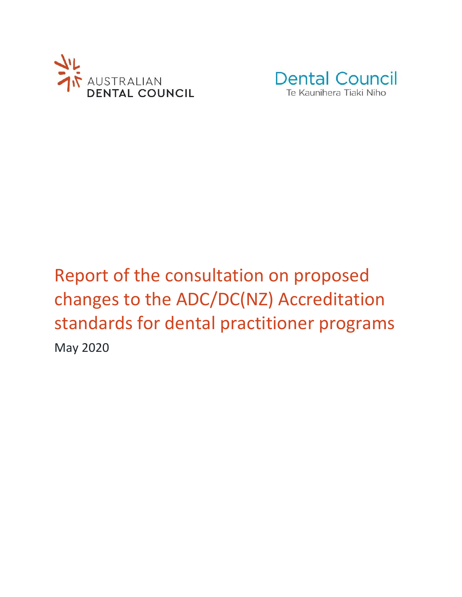



# Report of the consultation on proposed changes to the ADC/DC(NZ) Accreditation standards for dental practitioner programs May 2020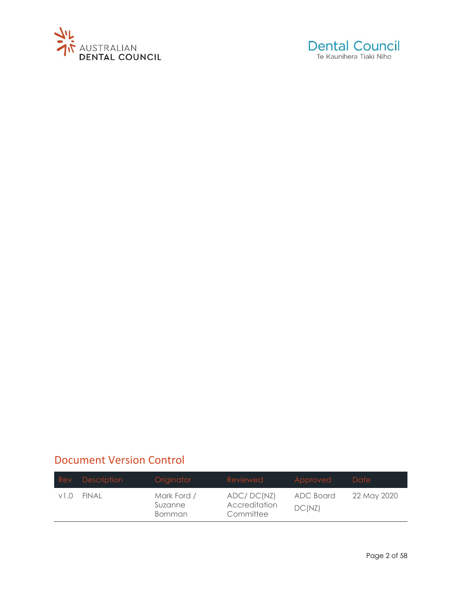



# Document Version Control

|      | Rev Description | Originator                        | Reviewed                                 | Approved            | Date        |
|------|-----------------|-----------------------------------|------------------------------------------|---------------------|-------------|
| v1.0 | FINAL           | Mark Ford /<br>Suzanne<br>Bornman | ADC/DC(NZ)<br>Accreditation<br>Committee | ADC Board<br>DC(NZ) | 22 May 2020 |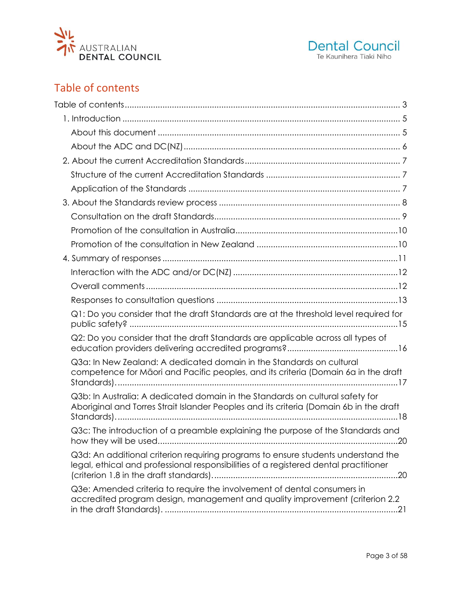



# <span id="page-2-0"></span>Table of contents

| Q1: Do you consider that the draft Standards are at the threshold level required for                                                                                      |  |
|---------------------------------------------------------------------------------------------------------------------------------------------------------------------------|--|
| Q2: Do you consider that the draft Standards are applicable across all types of                                                                                           |  |
| Q3a: In New Zealand: A dedicated domain in the Standards on cultural<br>competence for Māori and Pacific peoples, and its criteria (Domain 6a in the draft                |  |
| Q3b: In Australia: A dedicated domain in the Standards on cultural safety for<br>Aboriginal and Torres Strait Islander Peoples and its criteria (Domain 6b in the draft   |  |
| Q3c: The introduction of a preamble explaining the purpose of the Standards and<br>$\dots 20$                                                                             |  |
| Q3d: An additional criterion requiring programs to ensure students understand the<br>legal, ethical and professional responsibilities of a registered dental practitioner |  |
| Q3e: Amended criteria to require the involvement of dental consumers in<br>accredited program design, management and quality improvement (criterion 2.2)                  |  |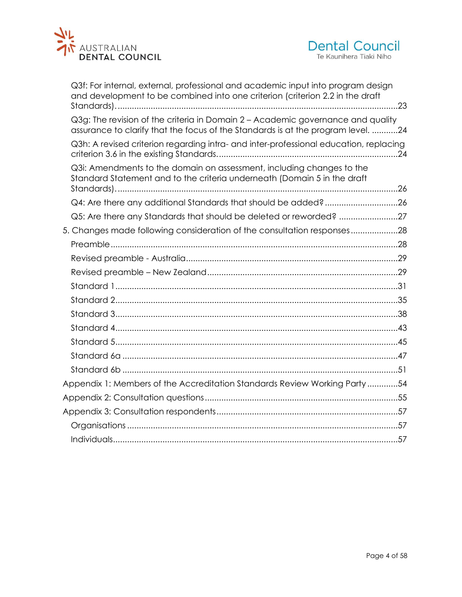



| Q3f: For internal, external, professional and academic input into program design<br>and development to be combined into one criterion (criterion 2.2 in the draft   |  |
|---------------------------------------------------------------------------------------------------------------------------------------------------------------------|--|
| Q3g: The revision of the criteria in Domain 2 - Academic governance and quality<br>assurance to clarify that the focus of the Standards is at the program level. 24 |  |
| Q3h: A revised criterion regarding intra- and inter-professional education, replacing                                                                               |  |
| Q3i: Amendments to the domain on assessment, including changes to the<br>Standard Statement and to the criteria underneath (Domain 5 in the draft                   |  |
| Q4: Are there any additional Standards that should be added?26                                                                                                      |  |
| Q5: Are there any Standards that should be deleted or reworded? 27                                                                                                  |  |
| 5. Changes made following consideration of the consultation responses28                                                                                             |  |
|                                                                                                                                                                     |  |
|                                                                                                                                                                     |  |
|                                                                                                                                                                     |  |
|                                                                                                                                                                     |  |
|                                                                                                                                                                     |  |
|                                                                                                                                                                     |  |
|                                                                                                                                                                     |  |
|                                                                                                                                                                     |  |
|                                                                                                                                                                     |  |
|                                                                                                                                                                     |  |
| Appendix 1: Members of the Accreditation Standards Review Working Party54                                                                                           |  |
|                                                                                                                                                                     |  |
|                                                                                                                                                                     |  |
|                                                                                                                                                                     |  |
|                                                                                                                                                                     |  |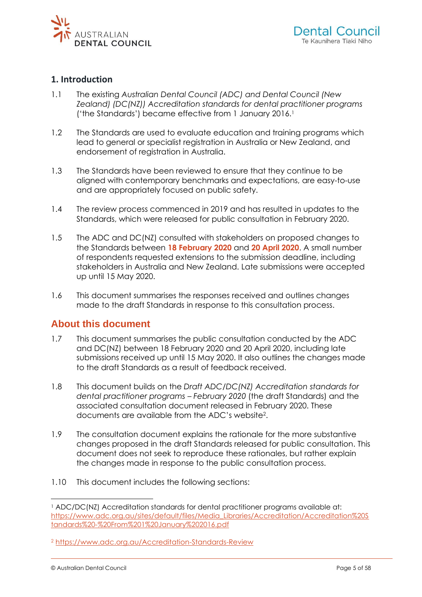<span id="page-4-0"></span>

### **1. Introduction**

- 1.1 The existing *Australian Dental Council (ADC) and Dental Council (New Zealand) (DC(NZ)) Accreditation standards for dental practitioner programs* ('the Standards') became effective from 1 January 2016.<sup>1</sup>
- 1.2 The Standards are used to evaluate education and training programs which lead to general or specialist registration in Australia or New Zealand, and endorsement of registration in Australia.
- 1.3 The Standards have been reviewed to ensure that they continue to be aligned with contemporary benchmarks and expectations, are easy-to-use and are appropriately focused on public safety.
- 1.4 The review process commenced in 2019 and has resulted in updates to the Standards, which were released for public consultation in February 2020.
- 1.5 The ADC and DC(NZ) consulted with stakeholders on proposed changes to the Standards between **18 February 2020** and **20 April 2020**. A small number of respondents requested extensions to the submission deadline, including stakeholders in Australia and New Zealand. Late submissions were accepted up until 15 May 2020.
- <span id="page-4-1"></span>1.6 This document summarises the responses received and outlines changes made to the draft Standards in response to this consultation process.

### **About this document**

- 1.7 This document summarises the public consultation conducted by the ADC and DC(NZ) between 18 February 2020 and 20 April 2020, including late submissions received up until 15 May 2020. It also outlines the changes made to the draft Standards as a result of feedback received.
- 1.8 This document builds on the *Draft ADC/DC(NZ) Accreditation standards for dental practitioner programs – February 2020* (the draft Standards) and the associated consultation document released in February 2020. These documents are available from the ADC's website<sup>2</sup> .
- 1.9 The consultation document explains the rationale for the more substantive changes proposed in the draft Standards released for public consultation. This document does not seek to reproduce these rationales, but rather explain the changes made in response to the public consultation process.
- 1.10 This document includes the following sections:

<sup>1</sup> ADC/DC(NZ) Accreditation standards for dental practitioner programs available at: [https://www.adc.org.au/sites/default/files/Media\\_Libraries/Accreditation/Accreditation%20S](https://www.adc.org.au/sites/default/files/Media_Libraries/Accreditation/Accreditation%20Standards%20-%20From%201%20January%202016.pdf) [tandards%20-%20From%201%20January%202016.pdf](https://www.adc.org.au/sites/default/files/Media_Libraries/Accreditation/Accreditation%20Standards%20-%20From%201%20January%202016.pdf)

<sup>2</sup> <https://www.adc.org.au/Accreditation-Standards-Review>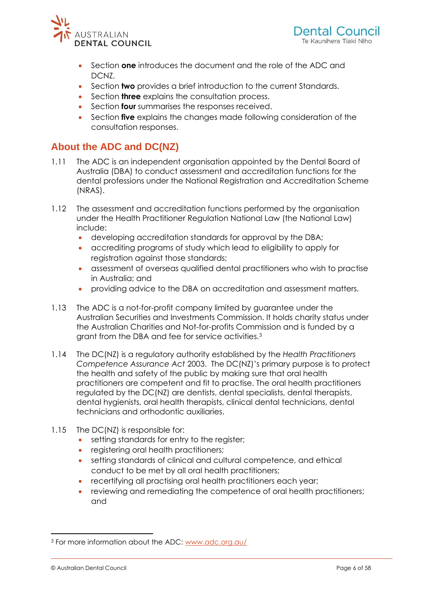



- Section **one** introduces the document and the role of the ADC and DCNZ.
- Section **two** provides a brief introduction to the current Standards.
- Section **three** explains the consultation process.
- <span id="page-5-0"></span>• Section **four** summarises the responses received.
- Section **five** explains the changes made following consideration of the consultation responses.

# **About the ADC and DC(NZ)**

- 1.11 The ADC is an independent organisation appointed by the Dental Board of Australia (DBA) to conduct assessment and accreditation functions for the dental professions under the National Registration and Accreditation Scheme (NRAS).
- 1.12 The assessment and accreditation functions performed by the organisation under the Health Practitioner Regulation National Law (the National Law) include:
	- developing accreditation standards for approval by the DBA;
	- accrediting programs of study which lead to eligibility to apply for registration against those standards;
	- assessment of overseas qualified dental practitioners who wish to practise in Australia; and
	- providing advice to the DBA on accreditation and assessment matters.
- 1.13 The ADC is a not-for-profit company limited by guarantee under the Australian Securities and Investments Commission. It holds charity status under the Australian Charities and Not-for-profits Commission and is funded by a grant from the DBA and fee for service activities.<sup>3</sup>
- 1.14 The DC(NZ) is a regulatory authority established by the *Health Practitioners Competence Assurance Act* 2003. The DC(NZ)'s primary purpose is to protect the health and safety of the public by making sure that oral health practitioners are competent and fit to practise. The oral health practitioners regulated by the DC(NZ) are dentists, dental specialists, dental therapists, dental hygienists, oral health therapists, clinical dental technicians, dental technicians and orthodontic auxiliaries.
- 1.15 The DC(NZ) is responsible for:
	- setting standards for entry to the register;
	- registering oral health practitioners:
	- setting standards of clinical and cultural competence, and ethical conduct to be met by all oral health practitioners;
	- recertifying all practising oral health practitioners each year;
	- reviewing and remediating the competence of oral health practitioners; and

<sup>3</sup> For more information about the ADC: [www.adc.org.au/](http://www.adc.org.au/)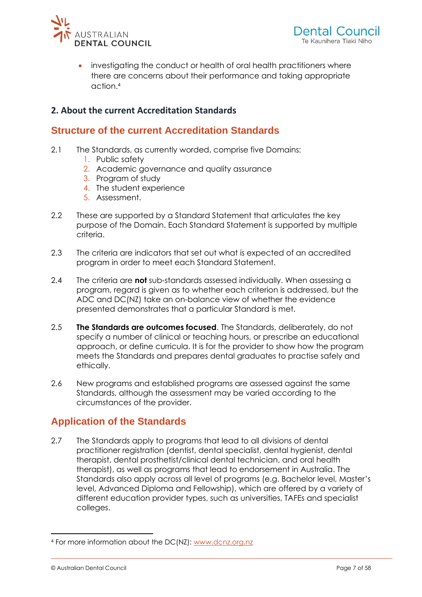

<span id="page-6-0"></span>investigating the conduct or health of oral health practitioners where there are concerns about their performance and taking appropriate action. 4

### <span id="page-6-1"></span>**2. About the current Accreditation Standards**

# **Structure of the current Accreditation Standards**

- 2.1 The Standards, as currently worded, comprise five Domains:
	- 1. Public safety
	- 2. Academic governance and quality assurance
	- 3. Program of study
	- 4. The student experience
	- 5. Assessment.
- 2.2 These are supported by a Standard Statement that articulates the key purpose of the Domain. Each Standard Statement is supported by multiple criteria.
- 2.3 The criteria are indicators that set out what is expected of an accredited program in order to meet each Standard Statement.
- 2.4 The criteria are **not** sub-standards assessed individually. When assessing a program, regard is given as to whether each criterion is addressed, but the ADC and DC(NZ) take an on-balance view of whether the evidence presented demonstrates that a particular Standard is met.
- 2.5 **The Standards are outcomes focused**. The Standards, deliberately, do not specify a number of clinical or teaching hours, or prescribe an educational approach, or define curricula. It is for the provider to show how the program meets the Standards and prepares dental graduates to practise safely and ethically.
- <span id="page-6-2"></span>2.6 New programs and established programs are assessed against the same Standards, although the assessment may be varied according to the circumstances of the provider.

# **Application of the Standards**

2.7 The Standards apply to programs that lead to all divisions of dental practitioner registration (dentist, dental specialist, dental hygienist, dental therapist, dental prosthetist/clinical dental technician, and oral health therapist), as well as programs that lead to endorsement in Australia. The Standards also apply across all level of programs (e.g. Bachelor level, Master's level, Advanced Diploma and Fellowship), which are offered by a variety of different education provider types, such as universities, TAFEs and specialist colleges.

<sup>4</sup> For more information about the DC(NZ): [www.dcnz.org.nz](https://www.dcnz.org.nz/)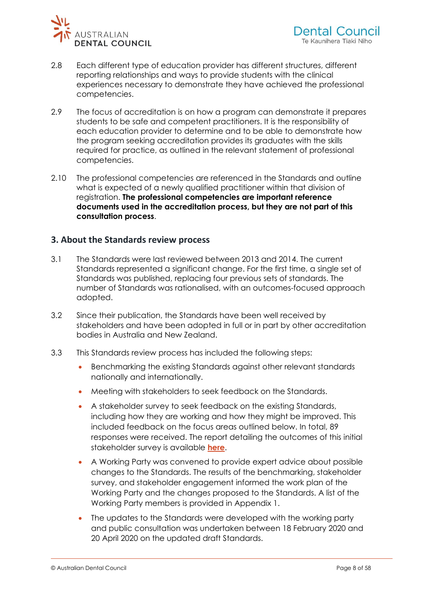

- 2.8 Each different type of education provider has different structures, different reporting relationships and ways to provide students with the clinical experiences necessary to demonstrate they have achieved the professional competencies.
- 2.9 The focus of accreditation is on how a program can demonstrate it prepares students to be safe and competent practitioners. It is the responsibility of each education provider to determine and to be able to demonstrate how the program seeking accreditation provides its graduates with the skills required for practice, as outlined in the relevant statement of professional competencies.
- <span id="page-7-0"></span>2.10 The professional competencies are referenced in the Standards and outline what is expected of a newly qualified practitioner within that division of registration. **The professional competencies are important reference documents used in the accreditation process, but they are not part of this consultation process**.

### **3. About the Standards review process**

- 3.1 The Standards were last reviewed between 2013 and 2014. The current Standards represented a significant change. For the first time, a single set of Standards was published, replacing four previous sets of standards. The number of Standards was rationalised, with an outcomes-focused approach adopted.
- 3.2 Since their publication, the Standards have been well received by stakeholders and have been adopted in full or in part by other accreditation bodies in Australia and New Zealand.
- 3.3 This Standards review process has included the following steps:
	- Benchmarking the existing Standards against other relevant standards nationally and internationally.
	- Meeting with stakeholders to seek feedback on the Standards.
	- A stakeholder survey to seek feedback on the existing Standards, including how they are working and how they might be improved. This included feedback on the focus areas outlined below. In total, 89 responses were received. The report detailing the outcomes of this initial stakeholder survey is available **[here](https://www.adc.org.au/sites/default/files/Media_Libraries/Accreditation/Summary_of_the_feedback_on_the_ADCDCNZ_Accred_Stnds_FINAL.pdf)**.
	- A Working Party was convened to provide expert advice about possible changes to the Standards. The results of the benchmarking, stakeholder survey, and stakeholder engagement informed the work plan of the Working Party and the changes proposed to the Standards. A list of the Working Party members is provided in Appendix 1.
	- The updates to the Standards were developed with the working party and public consultation was undertaken between 18 February 2020 and 20 April 2020 on the updated draft Standards.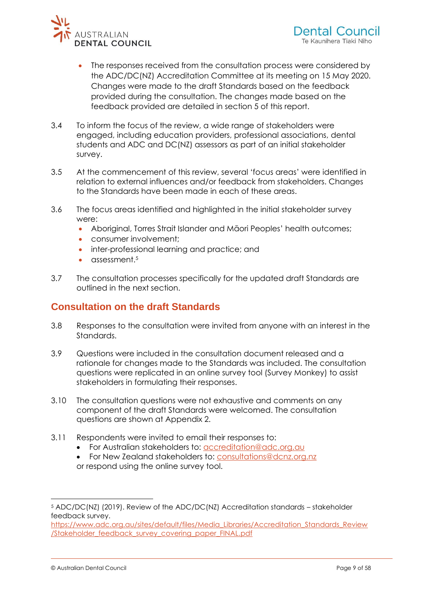

- The responses received from the consultation process were considered by the ADC/DC(NZ) Accreditation Committee at its meeting on 15 May 2020. Changes were made to the draft Standards based on the feedback provided during the consultation. The changes made based on the feedback provided are detailed in section 5 of this report.
- 3.4 To inform the focus of the review, a wide range of stakeholders were engaged, including education providers, professional associations, dental students and ADC and DC(NZ) assessors as part of an initial stakeholder survey.
- 3.5 At the commencement of this review, several 'focus areas' were identified in relation to external influences and/or feedback from stakeholders. Changes to the Standards have been made in each of these areas.
- 3.6 The focus areas identified and highlighted in the initial stakeholder survey were:
	- Aboriginal, Torres Strait Islander and Māori Peoples' health outcomes;
	- consumer involvement:
	- inter-professional learning and practice; and
	- $\bullet$  assessment.<sup>5</sup>
- <span id="page-8-0"></span>3.7 The consultation processes specifically for the updated draft Standards are outlined in the next section.

### **Consultation on the draft Standards**

- 3.8 Responses to the consultation were invited from anyone with an interest in the Standards.
- 3.9 Questions were included in the consultation document released and a rationale for changes made to the Standards was included. The consultation questions were replicated in an online survey tool (Survey Monkey) to assist stakeholders in formulating their responses.
- 3.10 The consultation questions were not exhaustive and comments on any component of the draft Standards were welcomed. The consultation questions are shown at Appendix 2.
- 3.11 Respondents were invited to email their responses to:
	- For Australian stakeholders to: [accreditation@adc.org.au](mailto:accreditation@adc.org.au)
	- For New Zealand stakeholders to: [consultations@dcnz.org.nz](mailto:consultations@dcnz.org.nz) or respond using the online survey tool.

<sup>5</sup> ADC/DC(NZ) (2019). Review of the ADC/DC(NZ) Accreditation standards – stakeholder feedback survey.

[https://www.adc.org.au/sites/default/files/Media\\_Libraries/Accreditation\\_Standards\\_Review](https://www.adc.org.au/sites/default/files/Media_Libraries/Accreditation_Standards_Review/Stakeholder_feedback_survey_covering_paper_FINAL.pdf) [/Stakeholder\\_feedback\\_survey\\_covering\\_paper\\_FINAL.pdf](https://www.adc.org.au/sites/default/files/Media_Libraries/Accreditation_Standards_Review/Stakeholder_feedback_survey_covering_paper_FINAL.pdf)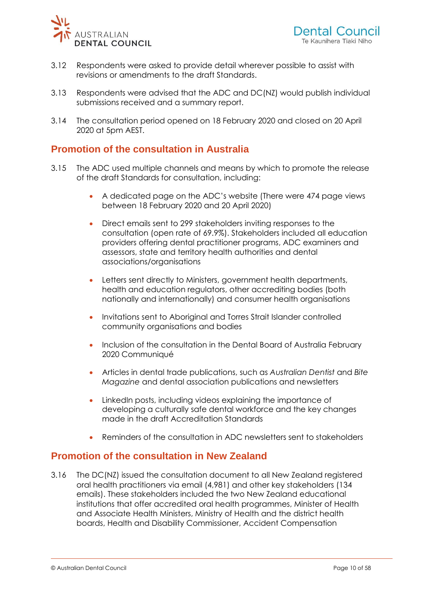

- 3.12 Respondents were asked to provide detail wherever possible to assist with revisions or amendments to the draft Standards.
- <span id="page-9-0"></span>3.13 Respondents were advised that the ADC and DC(NZ) would publish individual submissions received and a summary report.
- 3.14 The consultation period opened on 18 February 2020 and closed on 20 April 2020 at 5pm AEST.

### **Promotion of the consultation in Australia**

- 3.15 The ADC used multiple channels and means by which to promote the release of the draft Standards for consultation, including:
	- A dedicated page on the ADC's website (There were 474 page views between 18 February 2020 and 20 April 2020)
	- Direct emails sent to 299 stakeholders inviting responses to the consultation (open rate of 69.9%). Stakeholders included all education providers offering dental practitioner programs, ADC examiners and assessors, state and territory health authorities and dental associations/organisations
	- Letters sent directly to Ministers, government health departments, health and education regulators, other accrediting bodies (both nationally and internationally) and consumer health organisations
	- Invitations sent to Aboriginal and Torres Strait Islander controlled community organisations and bodies
	- Inclusion of the consultation in the Dental Board of Australia February 2020 Communiqué
	- Articles in dental trade publications, such as *Australian Dentist* and *Bite Magazine* and dental association publications and newsletters
	- LinkedIn posts, including videos explaining the importance of developing a culturally safe dental workforce and the key changes made in the draft Accreditation Standards
	- Reminders of the consultation in ADC newsletters sent to stakeholders

### <span id="page-9-1"></span>**Promotion of the consultation in New Zealand**

3.16 The DC(NZ) issued the consultation document to all New Zealand registered oral health practitioners via email (4,981) and other key stakeholders (134 emails). These stakeholders included the two New Zealand educational institutions that offer accredited oral health programmes, Minister of Health and Associate Health Ministers, Ministry of Health and the district health boards, Health and Disability Commissioner, Accident Compensation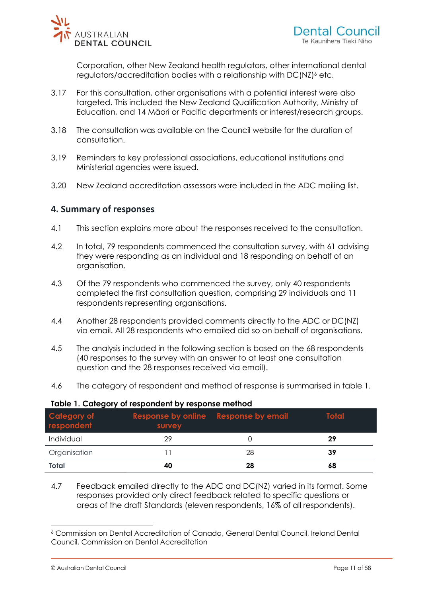

Corporation, other New Zealand health regulators, other international dental regulators/accreditation bodies with a relationship with DC(NZ)<sup>6</sup> etc.

- 3.17 For this consultation, other organisations with a potential interest were also targeted. This included the New Zealand Qualification Authority, Ministry of Education, and 14 Māori or Pacific departments or interest/research groups.
- 3.18 The consultation was available on the Council website for the duration of consultation.
- <span id="page-10-0"></span>3.19 Reminders to key professional associations, educational institutions and Ministerial agencies were issued.
- 3.20 New Zealand accreditation assessors were included in the ADC mailing list.

### **4. Summary of responses**

- 4.1 This section explains more about the responses received to the consultation.
- 4.2 In total, 79 respondents commenced the consultation survey, with 61 advising they were responding as an individual and 18 responding on behalf of an organisation.
- 4.3 Of the 79 respondents who commenced the survey, only 40 respondents completed the first consultation question, comprising 29 individuals and 11 respondents representing organisations.
- 4.4 Another 28 respondents provided comments directly to the ADC or DC(NZ) via email. All 28 respondents who emailed did so on behalf of organisations.
- 4.5 The analysis included in the following section is based on the 68 respondents (40 responses to the survey with an answer to at least one consultation question and the 28 responses received via email).
- 4.6 The category of respondent and method of response is summarised in table 1.

| Category of<br>respondent | Response by online Response by email<br>survey |    | <b>Total</b> |
|---------------------------|------------------------------------------------|----|--------------|
| Individual                | 29                                             |    | 29           |
| Organisation              |                                                | 28 | 39           |
| Total                     | 40                                             | 28 | 68           |

#### **Table 1. Category of respondent by response method**

4.7 Feedback emailed directly to the ADC and DC(NZ) varied in its format. Some responses provided only direct feedback related to specific questions or areas of the draft Standards (eleven respondents, 16% of all respondents).

<sup>6</sup> Commission on Dental Accreditation of Canada, General Dental Council, Ireland Dental Council, Commission on Dental Accreditation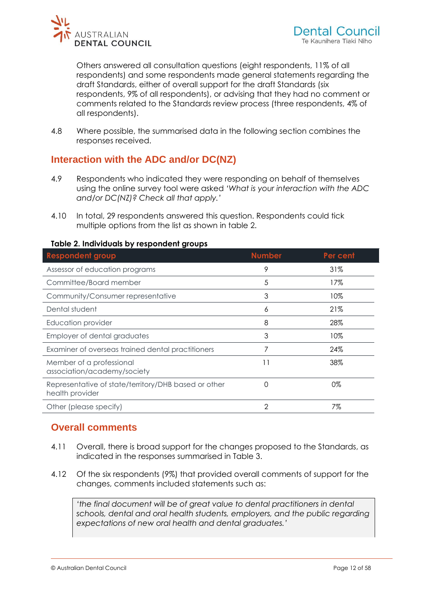

Others answered all consultation questions (eight respondents, 11% of all respondents) and some respondents made general statements regarding the draft Standards, either of overall support for the draft Standards (six respondents, 9% of all respondents), or advising that they had no comment or comments related to the Standards review process (three respondents, 4% of all respondents).

<span id="page-11-0"></span>4.8 Where possible, the summarised data in the following section combines the responses received.

# **Interaction with the ADC and/or DC(NZ)**

- 4.9 Respondents who indicated they were responding on behalf of themselves using the online survey tool were asked *'What is your interaction with the ADC and/or DC(NZ)? Check all that apply.'*
- 4.10 In total, 29 respondents answered this question. Respondents could tick multiple options from the list as shown in table 2.

| <b>Respondent group</b>                                                 | <b>Number</b> | Per cent |
|-------------------------------------------------------------------------|---------------|----------|
| Assessor of education programs                                          | 9             | 31%      |
| Committee/Board member                                                  | 5             | 17%      |
| Community/Consumer representative                                       | 3             | 10%      |
| Dental student                                                          | 6             | 21%      |
| Education provider                                                      | 8             | 28%      |
| Employer of dental graduates                                            | 3             | 10%      |
| Examiner of overseas trained dental practitioners                       |               | 24%      |
| Member of a professional<br>association/academy/society                 | 11            | 38%      |
| Representative of state/territory/DHB based or other<br>health provider | 0             | 0%       |
| Other (please specify)                                                  | 2             | 7%       |

#### **Table 2. Individuals by respondent groups**

# <span id="page-11-1"></span>**Overall comments**

- 4.11 Overall, there is broad support for the changes proposed to the Standards, as indicated in the responses summarised in Table 3.
- 4.12 Of the six respondents (9%) that provided overall comments of support for the changes, comments included statements such as:

*'the final document will be of great value to dental practitioners in dental*  schools, dental and oral health students, employers, and the public regarding *expectations of new oral health and dental graduates.'*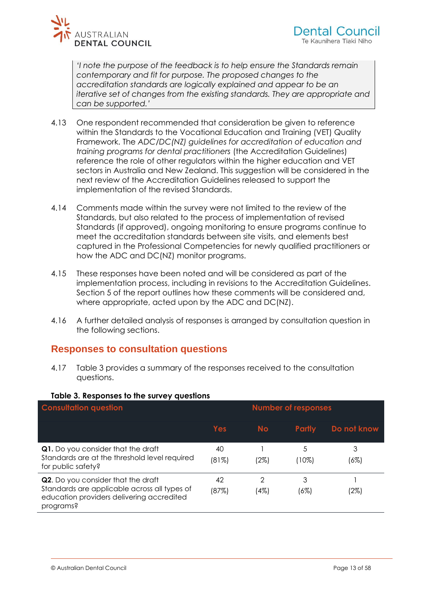

*'I note the purpose of the feedback is to help ensure the Standards remain contemporary and fit for purpose. The proposed changes to the accreditation standards are logically explained and appear to be an iterative set of changes from the existing standards. They are appropriate and can be supported.'*

- 4.13 One respondent recommended that consideration be given to reference within the Standards to the Vocational Education and Training (VET) Quality Framework. The *ADC/DC(NZ) guidelines for accreditation of education and training programs for dental practitioners* (the Accreditation Guidelines) reference the role of other regulators within the higher education and VET sectors in Australia and New Zealand. This suggestion will be considered in the next review of the Accreditation Guidelines released to support the implementation of the revised Standards.
- 4.14 Comments made within the survey were not limited to the review of the Standards, but also related to the process of implementation of revised Standards (if approved), ongoing monitoring to ensure programs continue to meet the accreditation standards between site visits, and elements best captured in the Professional Competencies for newly qualified practitioners or how the ADC and DC(NZ) monitor programs.
- 4.15 These responses have been noted and will be considered as part of the implementation process, including in revisions to the Accreditation Guidelines. Section 5 of the report outlines how these comments will be considered and, where appropriate, acted upon by the ADC and DC(NZ).
- <span id="page-12-0"></span>4.16 A further detailed analysis of responses is arranged by consultation question in the following sections.

### **Responses to consultation questions**

4.17 Table 3 provides a summary of the responses received to the consultation questions.

| <b>Consultation question</b>                                                                                                                 | <b>Number of responses</b> |           |               |             |
|----------------------------------------------------------------------------------------------------------------------------------------------|----------------------------|-----------|---------------|-------------|
|                                                                                                                                              | Yes                        | <b>No</b> | <b>Partly</b> | Do not know |
| Q1. Do you consider that the draft<br>Standards are at the threshold level required<br>for public safety?                                    | 40<br>(81%)                | (2%)      | 5<br>'10%)    | 3<br>(6%)   |
| Q2. Do you consider that the draft<br>Standards are applicable across all types of<br>education providers delivering accredited<br>programs? | 42<br>(87%)                | 2<br>(4%) | 3<br>(6%)     | (2%)        |

#### **Table 3. Responses to the survey questions**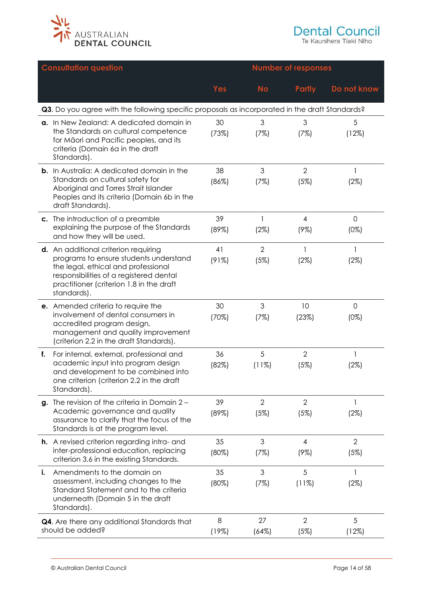

Te Kaunihera Tiaki Niho

|    | <b>Consultation question</b>                                                                                                                                                                                                | <b>Number of responses</b> |                        |                           |                                |
|----|-----------------------------------------------------------------------------------------------------------------------------------------------------------------------------------------------------------------------------|----------------------------|------------------------|---------------------------|--------------------------------|
|    |                                                                                                                                                                                                                             | <b>Yes</b>                 | <b>No</b>              | <b>Partly</b>             | Do not know                    |
|    | Q3. Do you agree with the following specific proposals as incorporated in the draft Standards?                                                                                                                              |                            |                        |                           |                                |
|    | a. In New Zealand: A dedicated domain in<br>the Standards on cultural competence<br>for Māori and Pacific peoples, and its<br>criteria (Domain 6a in the draft<br>Standards).                                               | 30<br>(73%)                | 3<br>(7%)              | $\mathfrak{S}$<br>(7%)    | 5<br>(12%)                     |
|    | <b>b.</b> In Australia: A dedicated domain in the<br>Standards on cultural safety for<br>Aboriginal and Torres Strait Islander<br>Peoples and its criteria (Domain 6b in the<br>draft Standards).                           | 38<br>(86%)                | 3<br>(7%)              | $\overline{2}$<br>(5%)    | 1<br>(2%)                      |
|    | c. The introduction of a preamble<br>explaining the purpose of the Standards<br>and how they will be used.                                                                                                                  | 39<br>(89%)                | 1<br>(2%)              | $\overline{4}$<br>$(9\%)$ | $\mathbf 0$<br>$(0\%)$         |
|    | d. An additional criterion requiring<br>programs to ensure students understand<br>the legal, ethical and professional<br>responsibilities of a registered dental<br>practitioner (criterion 1.8 in the draft<br>standards). | 41<br>(91%)                | $\overline{2}$<br>(5%) | $\mathbf{1}$<br>(2%)      | 1<br>(2%)                      |
|    | e. Amended criteria to require the<br>involvement of dental consumers in<br>accredited program design,<br>management and quality improvement<br>(criterion 2.2 in the draft Standards).                                     | 30<br>(70%)                | 3<br>(7%)              | 10<br>(23%)               | $\mathsf{O}\xspace$<br>$(0\%)$ |
| f. | For internal, external, professional and<br>academic input into program design<br>and development to be combined into<br>one criterion (criterion 2.2 in the draft<br>Standards).                                           | 36<br>(82%)                | 5<br>(11%)             | $\overline{2}$<br>(5%)    | 1<br>(2%)                      |
|    | g. The revision of the criteria in Domain $2 -$<br>Academic governance and quality<br>assurance to clarify that the focus of the<br>Standards is at the program level.                                                      | 39<br>(89%)                | $\overline{2}$<br>(5%) | $\overline{2}$<br>(5%)    | 1<br>(2%)                      |
|    | <b>h.</b> A revised criterion regarding intra- and<br>inter-professional education, replacing<br>criterion 3.6 in the existing Standards.                                                                                   | 35<br>(80%)                | 3<br>(7%)              | 4<br>$(9\%)$              | $\overline{2}$<br>(5%)         |
| i. | Amendments to the domain on<br>assessment, including changes to the<br>Standard Statement and to the criteria<br>underneath (Domain 5 in the draft<br>Standards).                                                           | 35<br>(80%)                | 3<br>(7%)              | 5<br>(11%)                | 1<br>(2%)                      |
|    | Q4. Are there any additional Standards that<br>should be added?                                                                                                                                                             | 8<br>(19%)                 | 27<br>(64%)            | $\overline{2}$<br>(5%)    | 5<br>(12%)                     |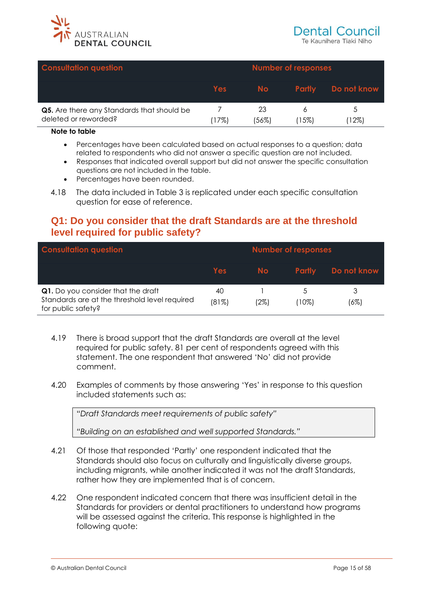

| <b>Consultation question</b>                                       |        |             | <b>Number of responses</b> |             |
|--------------------------------------------------------------------|--------|-------------|----------------------------|-------------|
|                                                                    | Yes    | No.         | <b>Partly</b>              | Do not know |
| Q5. Are there any Standards that should be<br>deleted or reworded? | $17\%$ | 23<br>'56%) | $15\%)$                    | '12%)       |

#### **Note to table**

- Percentages have been calculated based on actual responses to a question; data related to respondents who did not answer a specific question are not included.
- Responses that indicated overall support but did not answer the specific consultation questions are not included in the table.
- Percentages have been rounded.
- <span id="page-14-0"></span>4.18 The data included in Table 3 is replicated under each specific consultation question for ease of reference.

### **Q1: Do you consider that the draft Standards are at the threshold level required for public safety?**

| <b>Consultation question</b>                                                                              |             |      | <b>Number of responses</b> |             |  |
|-----------------------------------------------------------------------------------------------------------|-------------|------|----------------------------|-------------|--|
|                                                                                                           | Yes         | No.  | <b>Partly</b>              | Do not know |  |
| Q1. Do you consider that the draft<br>Standards are at the threshold level required<br>for public safety? | 40<br>(81%) | (2%) | $10\%$                     | (6%)        |  |

- 4.19 There is broad support that the draft Standards are overall at the level required for public safety. 81 per cent of respondents agreed with this statement. The one respondent that answered 'No' did not provide comment.
- 4.20 Examples of comments by those answering 'Yes' in response to this question included statements such as:

"*Draft Standards meet requirements of public safety"*

*"Building on an established and well supported Standards."*

- 4.21 Of those that responded 'Partly' one respondent indicated that the Standards should also focus on culturally and linguistically diverse groups, including migrants, while another indicated it was not the draft Standards, rather how they are implemented that is of concern.
- 4.22 One respondent indicated concern that there was insufficient detail in the Standards for providers or dental practitioners to understand how programs will be assessed against the criteria. This response is highlighted in the following quote: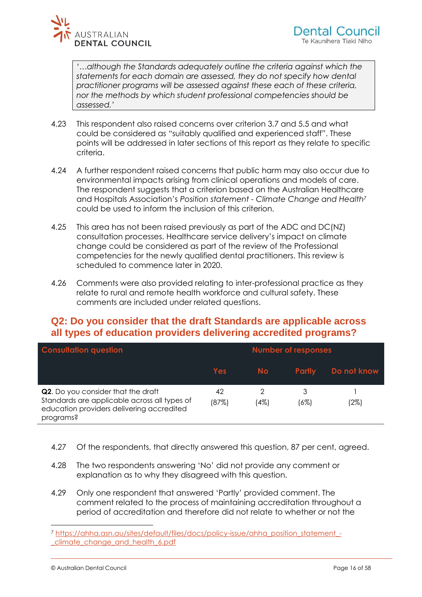

*'…although the Standards adequately outline the criteria against which the statements for each domain are assessed, they do not specify how dental practitioner programs will be assessed against these each of these criteria, nor the methods by which student professional competencies should be assessed.'*

- 4.23 This respondent also raised concerns over criterion 3.7 and 5.5 and what could be considered as "suitably qualified and experienced staff". These points will be addressed in later sections of this report as they relate to specific criteria.
- 4.24 A further respondent raised concerns that public harm may also occur due to environmental impacts arising from clinical operations and models of care. The respondent suggests that a criterion based on the Australian Healthcare and Hospitals Association's *Position statement - Climate Change and Health<sup>7</sup>* could be used to inform the inclusion of this criterion.
- 4.25 This area has not been raised previously as part of the ADC and DC(NZ) consultation processes. Healthcare service delivery's impact on climate change could be considered as part of the review of the Professional competencies for the newly qualified dental practitioners. This review is scheduled to commence later in 2020.
- <span id="page-15-0"></span>4.26 Comments were also provided relating to inter-professional practice as they relate to rural and remote health workforce and cultural safety. These comments are included under related questions.

# **Q2: Do you consider that the draft Standards are applicable across all types of education providers delivering accredited programs?**

| <b>Consultation question</b>                                                                                                                 |             | <b>Number of responses</b> |               |             |  |
|----------------------------------------------------------------------------------------------------------------------------------------------|-------------|----------------------------|---------------|-------------|--|
|                                                                                                                                              | <b>Yes</b>  | <b>No</b>                  | <b>Partly</b> | Do not know |  |
| Q2. Do you consider that the draft<br>Standards are applicable across all types of<br>education providers delivering accredited<br>programs? | 42<br>(87%) | (4%)                       | (6%)          | (2%)        |  |

- 4.27 Of the respondents, that directly answered this question, 87 per cent, agreed.
- 4.28 The two respondents answering 'No' did not provide any comment or explanation as to why they disagreed with this question.
- 4.29 Only one respondent that answered 'Partly' provided comment. The comment related to the process of maintaining accreditation throughout a period of accreditation and therefore did not relate to whether or not the

<sup>7</sup> [https://ahha.asn.au/sites/default/files/docs/policy-issue/ahha\\_position\\_statement\\_-](https://ahha.asn.au/sites/default/files/docs/policy-issue/ahha_position_statement_-_climate_change_and_health_6.pdf) [\\_climate\\_change\\_and\\_health\\_6.pdf](https://ahha.asn.au/sites/default/files/docs/policy-issue/ahha_position_statement_-_climate_change_and_health_6.pdf)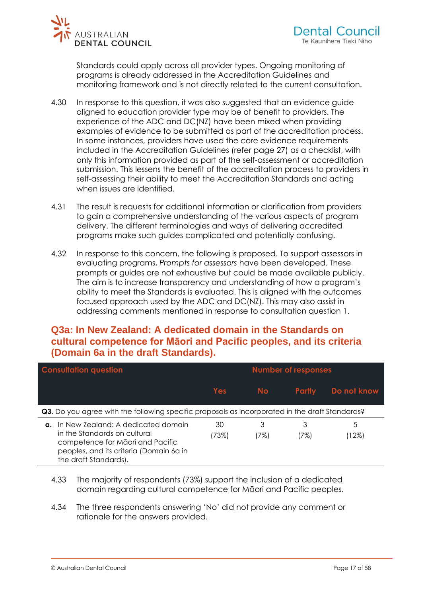

Standards could apply across all provider types. Ongoing monitoring of programs is already addressed in the Accreditation Guidelines and monitoring framework and is not directly related to the current consultation.

- 4.30 In response to this question, it was also suggested that an evidence guide aligned to education provider type may be of benefit to providers. The experience of the ADC and DC(NZ) have been mixed when providing examples of evidence to be submitted as part of the accreditation process. In some instances, providers have used the core evidence requirements included in the Accreditation Guidelines (refer page 27) as a checklist, with only this information provided as part of the self-assessment or accreditation submission. This lessens the benefit of the accreditation process to providers in self-assessing their ability to meet the Accreditation Standards and acting when issues are identified.
- 4.31 The result is requests for additional information or clarification from providers to gain a comprehensive understanding of the various aspects of program delivery. The different terminologies and ways of delivering accredited programs make such guides complicated and potentially confusing.
- 4.32 In response to this concern, the following is proposed. To support assessors in evaluating programs, *Prompts for assessors* have been developed. These prompts or guides are not exhaustive but could be made available publicly. The aim is to increase transparency and understanding of how a program's ability to meet the Standards is evaluated. This is aligned with the outcomes focused approach used by the ADC and DC(NZ). This may also assist in addressing comments mentioned in response to consultation question 1.

# <span id="page-16-0"></span>**Q3a: In New Zealand: A dedicated domain in the Standards on cultural competence for Māori and Pacific peoples, and its criteria (Domain 6a in the draft Standards).**

| <b>Consultation question</b>                                                                          |                                                                                                                                                                            |             |           | <b>Number of responses</b> |               |  |
|-------------------------------------------------------------------------------------------------------|----------------------------------------------------------------------------------------------------------------------------------------------------------------------------|-------------|-----------|----------------------------|---------------|--|
|                                                                                                       |                                                                                                                                                                            | Yes         | <b>No</b> | <b>Partly</b>              | Do not know   |  |
| <b>Q3.</b> Do you agree with the following specific proposals as incorporated in the draft Standards? |                                                                                                                                                                            |             |           |                            |               |  |
| α.                                                                                                    | In New Zealand: A dedicated domain<br>in the Standards on cultural<br>competence for Māori and Pacific<br>peoples, and its criteria (Domain 6a in<br>the draft Standards). | 30<br>(73%) | 3<br>(7%) | 3<br>17%)                  | 5<br>$(12\%)$ |  |

- 4.33 The majority of respondents (73%) support the inclusion of a dedicated domain regarding cultural competence for Māori and Pacific peoples.
- 4.34 The three respondents answering 'No' did not provide any comment or rationale for the answers provided.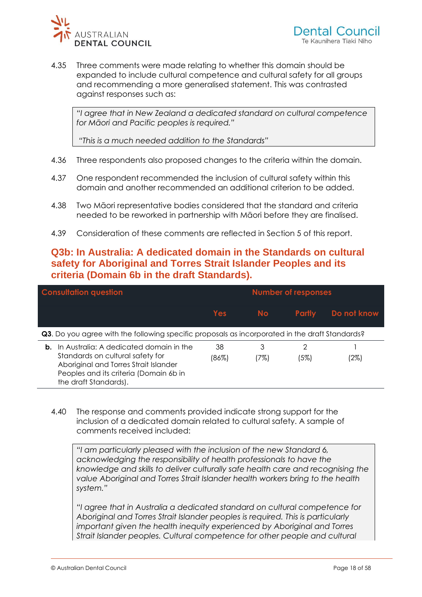

4.35 Three comments were made relating to whether this domain should be expanded to include cultural competence and cultural safety for all groups and recommending a more generalised statement. This was contrasted against responses such as:

*"I agree that in New Zealand a dedicated standard on cultural competence for Māori and Pacific peoples is required."*

*"This is a much needed addition to the Standards"*

- 4.36 Three respondents also proposed changes to the criteria within the domain.
- 4.37 One respondent recommended the inclusion of cultural safety within this domain and another recommended an additional criterion to be added.
- <span id="page-17-0"></span>4.38 Two Māori representative bodies considered that the standard and criteria needed to be reworked in partnership with Māori before they are finalised.
- 4.39 Consideration of these comments are reflected in Section 5 of this report.

# **Q3b: In Australia: A dedicated domain in the Standards on cultural safety for Aboriginal and Torres Strait Islander Peoples and its criteria (Domain 6b in the draft Standards).**

| <b>Consultation question</b> |                                                                                                                                                                                         |             |           | <b>Number of responses</b> |             |  |
|------------------------------|-----------------------------------------------------------------------------------------------------------------------------------------------------------------------------------------|-------------|-----------|----------------------------|-------------|--|
|                              |                                                                                                                                                                                         | Yes         | <b>No</b> | <b>Partly</b>              | Do not know |  |
|                              | <b>Q3.</b> Do you agree with the following specific proposals as incorporated in the draft Standards?                                                                                   |             |           |                            |             |  |
| b.                           | In Australia: A dedicated domain in the<br>Standards on cultural safety for<br>Aboriginal and Torres Strait Islander<br>Peoples and its criteria (Domain 6b in<br>the draft Standards). | 38<br>(86%) | 3<br>(7%) | (5%)                       | (2%)        |  |

4.40 The response and comments provided indicate strong support for the inclusion of a dedicated domain related to cultural safety. A sample of comments received included:

*"I am particularly pleased with the inclusion of the new Standard 6, acknowledging the responsibility of health professionals to have the knowledge and skills to deliver culturally safe health care and recognising the value Aboriginal and Torres Strait Islander health workers bring to the health system."*

*"I agree that in Australia a dedicated standard on cultural competence for Aboriginal and Torres Strait Islander peoples is required. This is particularly important given the health inequity experienced by Aboriginal and Torres Strait Islander peoples. Cultural competence for other people and cultural*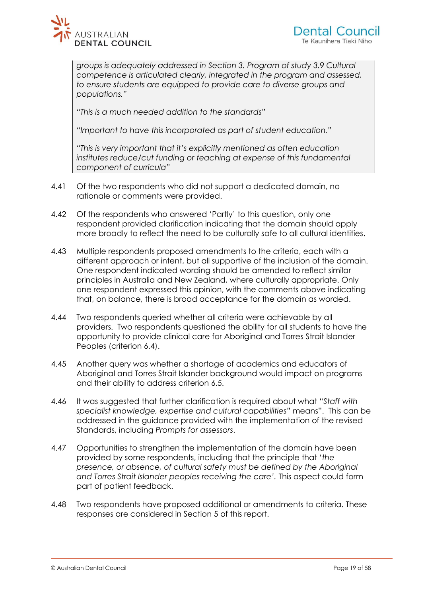

*groups is adequately addressed in Section 3. Program of study 3.9 Cultural competence is articulated clearly, integrated in the program and assessed, to ensure students are equipped to provide care to diverse groups and populations."*

*"This is a much needed addition to the standards"*

*"Important to have this incorporated as part of student education."*

*"This is very important that it's explicitly mentioned as often education institutes reduce/cut funding or teaching at expense of this fundamental component of curricula"*

- 4.41 Of the two respondents who did not support a dedicated domain, no rationale or comments were provided.
- 4.42 Of the respondents who answered 'Partly' to this question, only one respondent provided clarification indicating that the domain should apply more broadly to reflect the need to be culturally safe to all cultural identities.
- 4.43 Multiple respondents proposed amendments to the criteria, each with a different approach or intent, but all supportive of the inclusion of the domain. One respondent indicated wording should be amended to reflect similar principles in Australia and New Zealand, where culturally appropriate. Only one respondent expressed this opinion, with the comments above indicating that, on balance, there is broad acceptance for the domain as worded.
- 4.44 Two respondents queried whether all criteria were achievable by all providers. Two respondents questioned the ability for all students to have the opportunity to provide clinical care for Aboriginal and Torres Strait Islander Peoples (criterion 6.4).
- 4.45 Another query was whether a shortage of academics and educators of Aboriginal and Torres Strait Islander background would impact on programs and their ability to address criterion 6.5.
- 4.46 It was suggested that further clarification is required about what "*Staff with specialist knowledge, expertise and cultural capabilities"* means". This can be addressed in the guidance provided with the implementation of the revised Standards, including *Prompts for assessors*.
- 4.47 Opportunities to strengthen the implementation of the domain have been provided by some respondents, including that the principle that '*the presence, or absence, of cultural safety must be defined by the Aboriginal*  and Torres Strait Islander peoples receiving the care'. This aspect could form part of patient feedback.
- 4.48 Two respondents have proposed additional or amendments to criteria. These responses are considered in Section 5 of this report.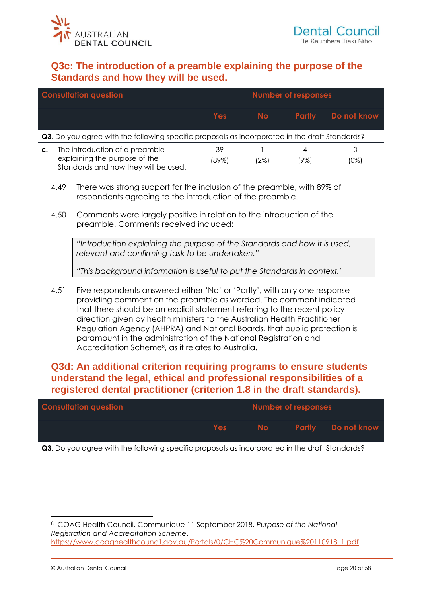<span id="page-19-0"></span>

# **Q3c: The introduction of a preamble explaining the purpose of the Standards and how they will be used.**

|    | <b>Consultation question</b>                                                                            |             |      | <b>Number of responses</b> |             |
|----|---------------------------------------------------------------------------------------------------------|-------------|------|----------------------------|-------------|
|    |                                                                                                         | <b>Yes</b>  | No.  | <b>Partly</b>              | Do not know |
|    | Q3. Do you agree with the following specific proposals as incorporated in the draft Standards?          |             |      |                            |             |
| C. | The introduction of a preamble<br>explaining the purpose of the<br>Standards and how they will be used. | 39<br>(89%) | (2%) | 19%)                       | U<br>(0%)   |

- 4.49 There was strong support for the inclusion of the preamble, with 89% of respondents agreeing to the introduction of the preamble.
- 4.50 Comments were largely positive in relation to the introduction of the preamble. Comments received included:

*"Introduction explaining the purpose of the Standards and how it is used, relevant and confirming task to be undertaken."*

*"This background information is useful to put the Standards in context."*

4.51 Five respondents answered either 'No' or 'Partly', with only one response providing comment on the preamble as worded. The comment indicated that there should be an explicit statement referring to the recent policy direction given by health ministers to the Australian Health Practitioner Regulation Agency (AHPRA) and National Boards, that public protection is paramount in the administration of the National Registration and Accreditation Scheme<sup>8</sup> , as it relates to Australia.

# <span id="page-19-1"></span>**Q3d: An additional criterion requiring programs to ensure students understand the legal, ethical and professional responsibilities of a registered dental practitioner (criterion 1.8 in the draft standards).**

| <b>Consultation question</b> |       | <b>Number of responses</b> |                                                 |
|------------------------------|-------|----------------------------|-------------------------------------------------|
|                              | Yes a |                            | <b>Example 1 No Conserver Partly Donot know</b> |

**Q3**. Do you agree with the following specific proposals as incorporated in the draft Standards?

<sup>8</sup> COAG Health Council, Communique 11 September 2018, *Purpose of the National Registration and Accreditation Scheme*. [https://www.coaghealthcouncil.gov.au/Portals/0/CHC%20Communique%20110918\\_1.pdf](https://www.coaghealthcouncil.gov.au/Portals/0/CHC%20Communique%20110918_1.pdf)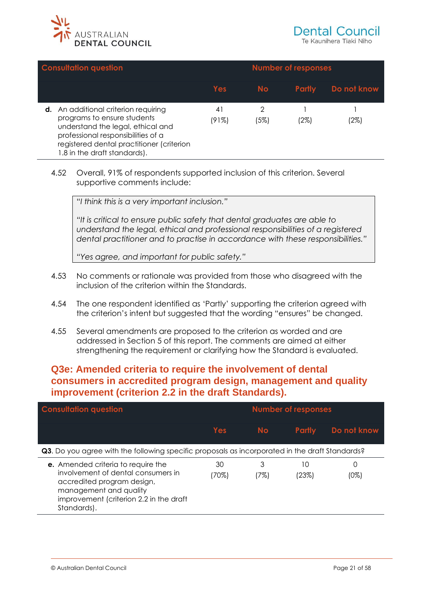

| <b>Consultation question</b>                                                                                                                                                                                                       |             |           | <b>Number of responses</b> |             |
|------------------------------------------------------------------------------------------------------------------------------------------------------------------------------------------------------------------------------------|-------------|-----------|----------------------------|-------------|
|                                                                                                                                                                                                                                    | Yes         | <b>No</b> | <b>Partly</b>              | Do not know |
| <b>d.</b> An additional criterion requiring<br>programs to ensure students<br>understand the legal, ethical and<br>professional responsibilities of a<br>registered dental practitioner (criterion<br>1.8 in the draft standards). | 41<br>(91%) | 2<br>(5%) | (2%)                       | (2%)        |

4.52 Overall, 91% of respondents supported inclusion of this criterion. Several supportive comments include:

"*I think this is a very important inclusion."*

*"It is critical to ensure public safety that dental graduates are able to understand the legal, ethical and professional responsibilities of a registered dental practitioner and to practise in accordance with these responsibilities."*

*"Yes agree, and important for public safety."*

- 4.53 No comments or rationale was provided from those who disagreed with the inclusion of the criterion within the Standards.
- 4.54 The one respondent identified as 'Partly' supporting the criterion agreed with the criterion's intent but suggested that the wording "ensures" be changed.
- <span id="page-20-0"></span>4.55 Several amendments are proposed to the criterion as worded and are addressed in Section 5 of this report. The comments are aimed at either strengthening the requirement or clarifying how the Standard is evaluated.

## **Q3e: Amended criteria to require the involvement of dental consumers in accredited program design, management and quality improvement (criterion 2.2 in the draft Standards).**

| <b>Consultation question</b>                                                                                                                                                               |             |           | <b>Number of responses</b> |              |
|--------------------------------------------------------------------------------------------------------------------------------------------------------------------------------------------|-------------|-----------|----------------------------|--------------|
|                                                                                                                                                                                            | <b>Yes</b>  | <b>No</b> | <b>Partly</b>              | Do not know  |
| <b>Q3.</b> Do you agree with the following specific proposals as incorporated in the draft Standards?                                                                                      |             |           |                            |              |
| e. Amended criteria to require the<br>involvement of dental consumers in<br>accredited program design,<br>management and quality<br>improvement (criterion 2.2 in the draft<br>Standards). | 30<br>(70%) | 3<br>(7%) | 10<br>(23%)                | Ω<br>$(0\%)$ |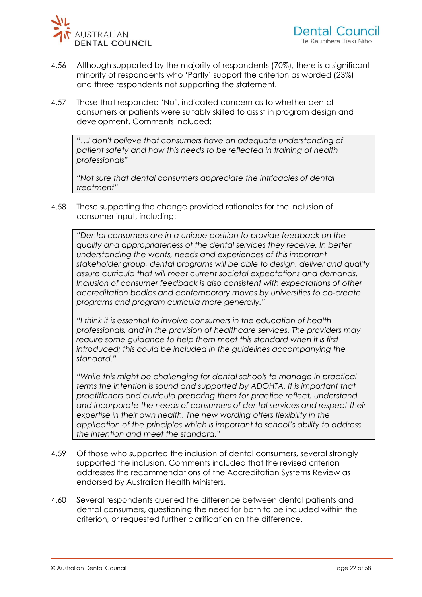

- 4.56 Although supported by the majority of respondents (70%), there is a significant minority of respondents who 'Partly' support the criterion as worded (23%) and three respondents not supporting the statement.
- 4.57 Those that responded 'No', indicated concern as to whether dental consumers or patients were suitably skilled to assist in program design and development. Comments included:

"*…I don't believe that consumers have an adequate understanding of patient safety and how this needs to be reflected in training of health professionals"*

*"Not sure that dental consumers appreciate the intricacies of dental treatment"*

4.58 Those supporting the change provided rationales for the inclusion of consumer input, including:

*"Dental consumers are in a unique position to provide feedback on the quality and appropriateness of the dental services they receive. In better understanding the wants, needs and experiences of this important stakeholder group, dental programs will be able to design, deliver and quality assure curricula that will meet current societal expectations and demands. Inclusion of consumer feedback is also consistent with expectations of other accreditation bodies and contemporary moves by universities to co-create programs and program curricula more generally."*

*"I think it is essential to involve consumers in the education of health professionals, and in the provision of healthcare services. The providers may require some guidance to help them meet this standard when it is first introduced; this could be included in the guidelines accompanying the standard."*

*"While this might be challenging for dental schools to manage in practical terms the intention is sound and supported by ADOHTA. It is important that practitioners and curricula preparing them for practice reflect, understand and incorporate the needs of consumers of dental services and respect their expertise in their own health. The new wording offers flexibility in the application of the principles which is important to school's ability to address the intention and meet the standard."*

- 4.59 Of those who supported the inclusion of dental consumers, several strongly supported the inclusion. Comments included that the revised criterion addresses the recommendations of the Accreditation Systems Review as endorsed by Australian Health Ministers.
- 4.60 Several respondents queried the difference between dental patients and dental consumers, questioning the need for both to be included within the criterion, or requested further clarification on the difference.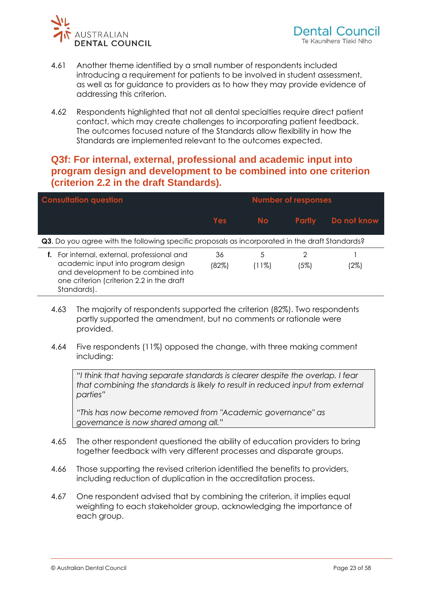

- 4.61 Another theme identified by a small number of respondents included introducing a requirement for patients to be involved in student assessment, as well as for guidance to providers as to how they may provide evidence of addressing this criterion.
- <span id="page-22-0"></span>4.62 Respondents highlighted that not all dental specialties require direct patient contact, which may create challenges to incorporating patient feedback. The outcomes focused nature of the Standards allow flexibility in how the Standards are implemented relevant to the outcomes expected.

# **Q3f: For internal, external, professional and academic input into program design and development to be combined into one criterion (criterion 2.2 in the draft Standards).**

| <b>Consultation question</b>                                                                                                                                                      |             | <b>Number of responses</b> |               |             |
|-----------------------------------------------------------------------------------------------------------------------------------------------------------------------------------|-------------|----------------------------|---------------|-------------|
|                                                                                                                                                                                   | Yes         | <b>No</b>                  | <b>Partly</b> | Do not know |
| Q3. Do you agree with the following specific proposals as incorporated in the draft Standards?                                                                                    |             |                            |               |             |
| For internal, external, professional and<br>academic input into program design<br>and development to be combined into<br>one criterion (criterion 2.2 in the draft<br>Standards). | 36<br>(82%) | 5<br>$(11\%)$              | (5%)          | (2%)        |

- 4.63 The majority of respondents supported the criterion (82%). Two respondents partly supported the amendment, but no comments or rationale were provided.
- 4.64 Five respondents (11%) opposed the change, with three making comment including:

*"I think that having separate standards is clearer despite the overlap. I fear that combining the standards is likely to result in reduced input from external parties"*

*"This has now become removed from "Academic governance" as governance is now shared among all."* 

- 4.65 The other respondent questioned the ability of education providers to bring together feedback with very different processes and disparate groups.
- 4.66 Those supporting the revised criterion identified the benefits to providers, including reduction of duplication in the accreditation process.
- 4.67 One respondent advised that by combining the criterion, it implies equal weighting to each stakeholder group, acknowledging the importance of each group.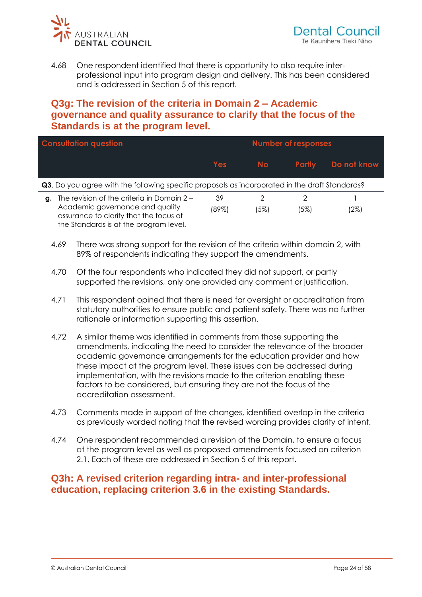

<span id="page-23-0"></span>4.68 One respondent identified that there is opportunity to also require interprofessional input into program design and delivery. This has been considered and is addressed in Section 5 of this report.

# **Q3g: The revision of the criteria in Domain 2 – Academic governance and quality assurance to clarify that the focus of the Standards is at the program level.**

|    | <b>Consultation question</b>                                                                                                                                      |             |           | <b>Number of responses</b> |             |
|----|-------------------------------------------------------------------------------------------------------------------------------------------------------------------|-------------|-----------|----------------------------|-------------|
|    |                                                                                                                                                                   | <b>Yes</b>  | <b>No</b> | <b>Partly</b>              | Do not know |
|    | Q3. Do you agree with the following specific proposals as incorporated in the draft Standards?                                                                    |             |           |                            |             |
| g. | The revision of the criteria in Domain 2 -<br>Academic governance and quality<br>assurance to clarify that the focus of<br>the Standards is at the program level. | 39<br>(89%) | 2<br>(5%) | (5%)                       | (2%)        |

- 4.69 There was strong support for the revision of the criteria within domain 2, with 89% of respondents indicating they support the amendments.
- 4.70 Of the four respondents who indicated they did not support, or partly supported the revisions, only one provided any comment or justification.
- 4.71 This respondent opined that there is need for oversight or accreditation from statutory authorities to ensure public and patient safety. There was no further rationale or information supporting this assertion.
- 4.72 A similar theme was identified in comments from those supporting the amendments, indicating the need to consider the relevance of the broader academic governance arrangements for the education provider and how these impact at the program level. These issues can be addressed during implementation, with the revisions made to the criterion enabling these factors to be considered, but ensuring they are not the focus of the accreditation assessment.
- 4.73 Comments made in support of the changes, identified overlap in the criteria as previously worded noting that the revised wording provides clarity of intent.
- <span id="page-23-1"></span>4.74 One respondent recommended a revision of the Domain, to ensure a focus at the program level as well as proposed amendments focused on criterion 2.1. Each of these are addressed in Section 5 of this report.

# **Q3h: A revised criterion regarding intra- and inter-professional education, replacing criterion 3.6 in the existing Standards.**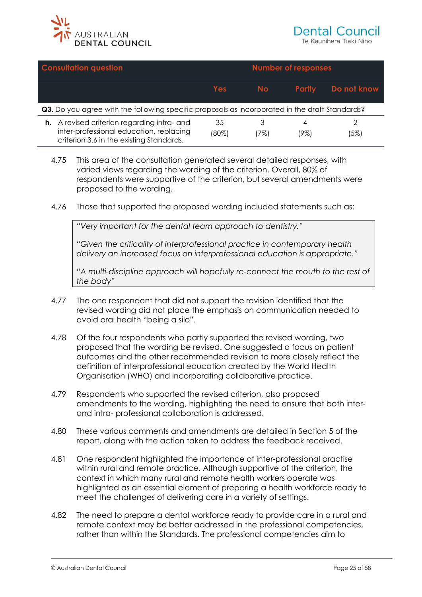

|    | <b>Consultation question</b>                                                                                                    |             |           | <b>Number of responses</b> |             |
|----|---------------------------------------------------------------------------------------------------------------------------------|-------------|-----------|----------------------------|-------------|
|    |                                                                                                                                 | Yes         | No.       | <b>Partly</b>              | Do not know |
|    | Q3. Do you agree with the following specific proposals as incorporated in the draft Standards?                                  |             |           |                            |             |
| h. | A revised criterion regarding intra- and<br>inter-professional education, replacing<br>criterion 3.6 in the existing Standards. | 35<br>(80%) | 3<br>(7%) | (9%)                       | (5%)        |

- 4.75 This area of the consultation generated several detailed responses, with varied views regarding the wording of the criterion. Overall, 80% of respondents were supportive of the criterion, but several amendments were proposed to the wording.
- 4.76 Those that supported the proposed wording included statements such as:

*"Very important for the dental team approach to dentistry."*

*"Given the criticality of interprofessional practice in contemporary health delivery an increased focus on interprofessional education is appropriate."*

*"A multi-discipline approach will hopefully re-connect the mouth to the rest of the body"*

- 4.77 The one respondent that did not support the revision identified that the revised wording did not place the emphasis on communication needed to avoid oral health "being a silo".
- 4.78 Of the four respondents who partly supported the revised wording, two proposed that the wording be revised. One suggested a focus on patient outcomes and the other recommended revision to more closely reflect the definition of interprofessional education created by the World Health Organisation (WHO) and incorporating collaborative practice.
- 4.79 Respondents who supported the revised criterion, also proposed amendments to the wording, highlighting the need to ensure that both interand intra- professional collaboration is addressed.
- 4.80 These various comments and amendments are detailed in Section 5 of the report, along with the action taken to address the feedback received.
- 4.81 One respondent highlighted the importance of inter-professional practise within rural and remote practice. Although supportive of the criterion, the context in which many rural and remote health workers operate was highlighted as an essential element of preparing a health workforce ready to meet the challenges of delivering care in a variety of settings.
- 4.82 The need to prepare a dental workforce ready to provide care in a rural and remote context may be better addressed in the professional competencies, rather than within the Standards. The professional competencies aim to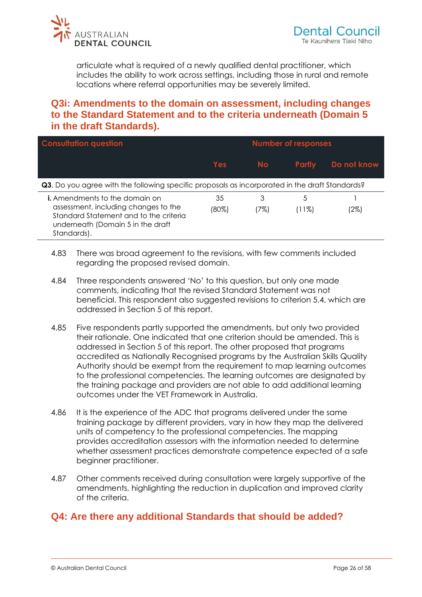

<span id="page-25-0"></span>articulate what is required of a newly qualified dental practitioner, which includes the ability to work across settings, including those in rural and remote locations where referral opportunities may be severely limited.

## **Q3i: Amendments to the domain on assessment, including changes to the Standard Statement and to the criteria underneath (Domain 5 in the draft Standards).**

| <b>Consultation question</b>                                                                                                                                                |                | <b>Number of responses</b> |               |             |
|-----------------------------------------------------------------------------------------------------------------------------------------------------------------------------|----------------|----------------------------|---------------|-------------|
|                                                                                                                                                                             | <b>Yes</b>     | <b>No</b>                  | <b>Partly</b> | Do not know |
| <b>Q3.</b> Do you agree with the following specific proposals as incorporated in the draft Standards?                                                                       |                |                            |               |             |
| <b>i.</b> Amendments to the domain on<br>assessment, including changes to the<br>Standard Statement and to the criteria<br>underneath (Domain 5 in the draft<br>Standards). | 35<br>$(80\%)$ | 3<br>(7%)                  | 5<br>(11%)    | (2%)        |

- 4.83 There was broad agreement to the revisions, with few comments included regarding the proposed revised domain.
- 4.84 Three respondents answered 'No' to this question, but only one made comments, indicating that the revised Standard Statement was not beneficial. This respondent also suggested revisions to criterion 5.4, which are addressed in Section 5 of this report.
- 4.85 Five respondents partly supported the amendments, but only two provided their rationale. One indicated that one criterion should be amended. This is addressed in Section 5 of this report. The other proposed that programs accredited as Nationally Recognised programs by the Australian Skills Quality Authority should be exempt from the requirement to map learning outcomes to the professional competencies. The learning outcomes are designated by the training package and providers are not able to add additional learning outcomes under the VET Framework in Australia.
- 4.86 It is the experience of the ADC that programs delivered under the same training package by different providers, vary in how they map the delivered units of competency to the professional competencies. The mapping provides accreditation assessors with the information needed to determine whether assessment practices demonstrate competence expected of a safe beginner practitioner.
- <span id="page-25-1"></span>4.87 Other comments received during consultation were largely supportive of the amendments, highlighting the reduction in duplication and improved clarity of the criteria.

# **Q4: Are there any additional Standards that should be added?**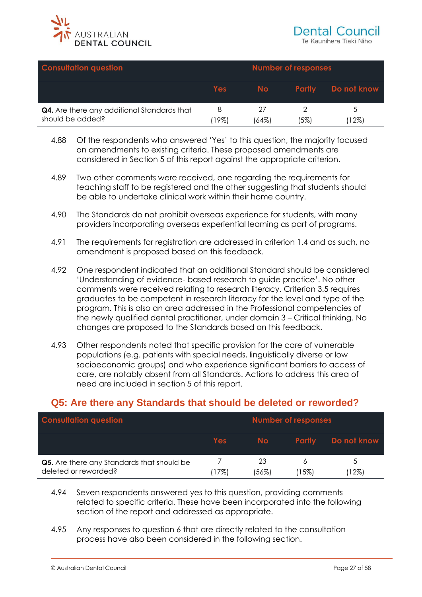

| <b>Consultation question</b>                                    |            |       | <b>Number of responses</b> |                    |
|-----------------------------------------------------------------|------------|-------|----------------------------|--------------------|
|                                                                 | <b>Yes</b> | No l  |                            | Partly Do not know |
| Q4. Are there any additional Standards that<br>should be added? | 19%        | (64%) | (5%)                       | 12%)               |

- 4.88 Of the respondents who answered 'Yes' to this question, the majority focused on amendments to existing criteria. These proposed amendments are considered in Section 5 of this report against the appropriate criterion.
- 4.89 Two other comments were received, one regarding the requirements for teaching staff to be registered and the other suggesting that students should be able to undertake clinical work within their home country.
- 4.90 The Standards do not prohibit overseas experience for students, with many providers incorporating overseas experiential learning as part of programs.
- 4.91 The requirements for registration are addressed in criterion 1.4 and as such, no amendment is proposed based on this feedback.
- 4.92 One respondent indicated that an additional Standard should be considered 'Understanding of evidence- based research to guide practice'. No other comments were received relating to research literacy. Criterion 3.5 requires graduates to be competent in research literacy for the level and type of the program. This is also an area addressed in the Professional competencies of the newly qualified dental practitioner, under domain 3 – Critical thinking. No changes are proposed to the Standards based on this feedback.
- <span id="page-26-0"></span>4.93 Other respondents noted that specific provision for the care of vulnerable populations (e.g. patients with special needs, linguistically diverse or low socioeconomic groups) and who experience significant barriers to access of care, are notably absent from all Standards. Actions to address this area of need are included in section 5 of this report.

# **Q5: Are there any Standards that should be deleted or reworded?**

| <b>Consultation question</b>                                       |            |             | <b>Number of responses</b> |             |
|--------------------------------------------------------------------|------------|-------------|----------------------------|-------------|
|                                                                    | <b>Yes</b> | No l        | <b>Partly</b>              | Do not know |
| Q5. Are there any Standards that should be<br>deleted or reworded? | 7%)        | 23<br>'56%) | 15%)                       | 12%)        |

- 4.94 Seven respondents answered yes to this question, providing comments related to specific criteria. These have been incorporated into the following section of the report and addressed as appropriate.
- 4.95 Any responses to question 6 that are directly related to the consultation process have also been considered in the following section.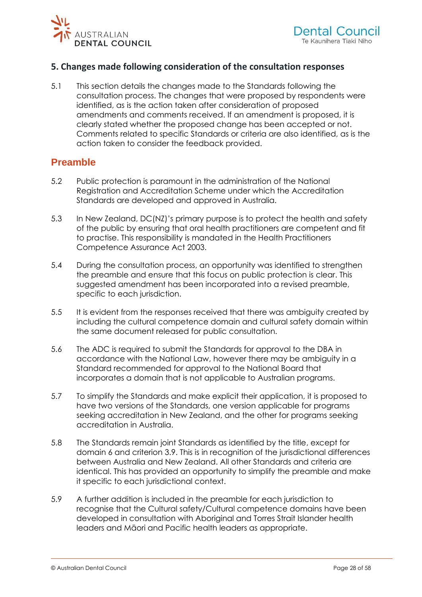<span id="page-27-0"></span>

### **5. Changes made following consideration of the consultation responses**

5.1 This section details the changes made to the Standards following the consultation process. The changes that were proposed by respondents were identified, as is the action taken after consideration of proposed amendments and comments received. If an amendment is proposed, it is clearly stated whether the proposed change has been accepted or not. Comments related to specific Standards or criteria are also identified, as is the action taken to consider the feedback provided.

### <span id="page-27-1"></span>**Preamble**

- 5.2 Public protection is paramount in the administration of the National Registration and Accreditation Scheme under which the Accreditation Standards are developed and approved in Australia.
- 5.3 In New Zealand, DC(NZ)'s primary purpose is to protect the health and safety of the public by ensuring that oral health practitioners are competent and fit to practise. This responsibility is mandated in the Health Practitioners Competence Assurance Act 2003.
- 5.4 During the consultation process, an opportunity was identified to strengthen the preamble and ensure that this focus on public protection is clear. This suggested amendment has been incorporated into a revised preamble, specific to each jurisdiction.
- 5.5 It is evident from the responses received that there was ambiguity created by including the cultural competence domain and cultural safety domain within the same document released for public consultation.
- 5.6 The ADC is required to submit the Standards for approval to the DBA in accordance with the National Law, however there may be ambiguity in a Standard recommended for approval to the National Board that incorporates a domain that is not applicable to Australian programs.
- 5.7 To simplify the Standards and make explicit their application, it is proposed to have two versions of the Standards, one version applicable for programs seeking accreditation in New Zealand, and the other for programs seeking accreditation in Australia.
- 5.8 The Standards remain joint Standards as identified by the title, except for domain 6 and criterion 3.9. This is in recognition of the jurisdictional differences between Australia and New Zealand. All other Standards and criteria are identical. This has provided an opportunity to simplify the preamble and make it specific to each jurisdictional context.
- 5.9 A further addition is included in the preamble for each jurisdiction to recognise that the Cultural safety/Cultural competence domains have been developed in consultation with Aboriginal and Torres Strait Islander health leaders and Māori and Pacific health leaders as appropriate.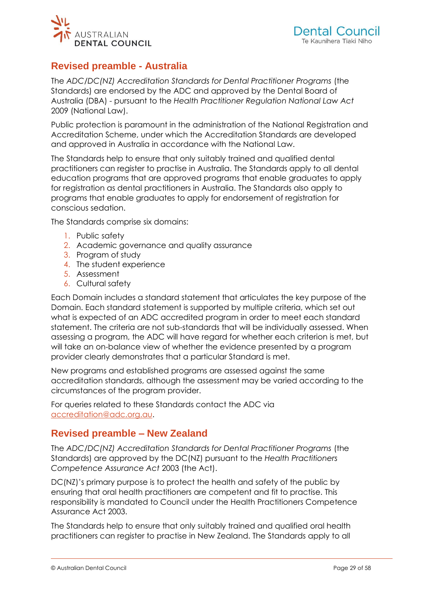<span id="page-28-0"></span>

# **Revised preamble - Australia**

The *ADC/DC(NZ) Accreditation Standards for Dental Practitioner Programs* (the Standards) are endorsed by the ADC and approved by the Dental Board of Australia (DBA) - pursuant to the *Health Practitioner Regulation National Law Act*  2009 (National Law).

Public protection is paramount in the administration of the National Registration and Accreditation Scheme, under which the Accreditation Standards are developed and approved in Australia in accordance with the National Law.

The Standards help to ensure that only suitably trained and qualified dental practitioners can register to practise in Australia. The Standards apply to all dental education programs that are approved programs that enable graduates to apply for registration as dental practitioners in Australia. The Standards also apply to programs that enable graduates to apply for endorsement of registration for conscious sedation.

The Standards comprise six domains:

- 1. Public safety
- 2. Academic governance and quality assurance
- 3. Program of study
- 4. The student experience
- 5. Assessment
- 6. Cultural safety

Each Domain includes a standard statement that articulates the key purpose of the Domain. Each standard statement is supported by multiple criteria, which set out what is expected of an ADC accredited program in order to meet each standard statement. The criteria are not sub-standards that will be individually assessed. When assessing a program, the ADC will have regard for whether each criterion is met, but will take an on-balance view of whether the evidence presented by a program provider clearly demonstrates that a particular Standard is met.

New programs and established programs are assessed against the same accreditation standards, although the assessment may be varied according to the circumstances of the program provider.

<span id="page-28-1"></span>For queries related to these Standards contact the ADC via [accreditation@adc.org.au.](mailto:accreditation@adc.org.au)

### **Revised preamble – New Zealand**

The *ADC/DC(NZ) Accreditation Standards for Dental Practitioner Programs* (the Standards) are approved by the DC(NZ) pursuant to the *Health Practitioners Competence Assurance Act* 2003 (the Act).

DC(NZ)'s primary purpose is to protect the health and safety of the public by ensuring that oral health practitioners are competent and fit to practise. This responsibility is mandated to Council under the Health Practitioners Competence Assurance Act 2003.

The Standards help to ensure that only suitably trained and qualified oral health practitioners can register to practise in New Zealand. The Standards apply to all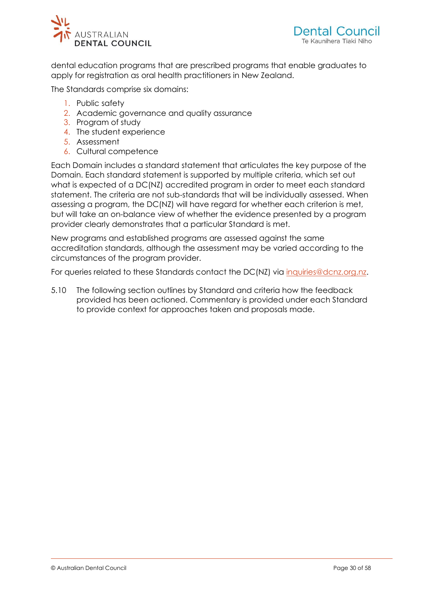

dental education programs that are prescribed programs that enable graduates to apply for registration as oral health practitioners in New Zealand.

The Standards comprise six domains:

- 1. Public safety
- 2. Academic governance and quality assurance
- 3. Program of study
- 4. The student experience
- 5. Assessment
- 6. Cultural competence

Each Domain includes a standard statement that articulates the key purpose of the Domain. Each standard statement is supported by multiple criteria, which set out what is expected of a DC(NZ) accredited program in order to meet each standard statement. The criteria are not sub-standards that will be individually assessed. When assessing a program, the DC(NZ) will have regard for whether each criterion is met, but will take an on-balance view of whether the evidence presented by a program provider clearly demonstrates that a particular Standard is met.

New programs and established programs are assessed against the same accreditation standards, although the assessment may be varied according to the circumstances of the program provider.

For queries related to these Standards contact the DC(NZ) via inquiries@dcnz.org.nz.

5.10 The following section outlines by Standard and criteria how the feedback provided has been actioned. Commentary is provided under each Standard to provide context for approaches taken and proposals made.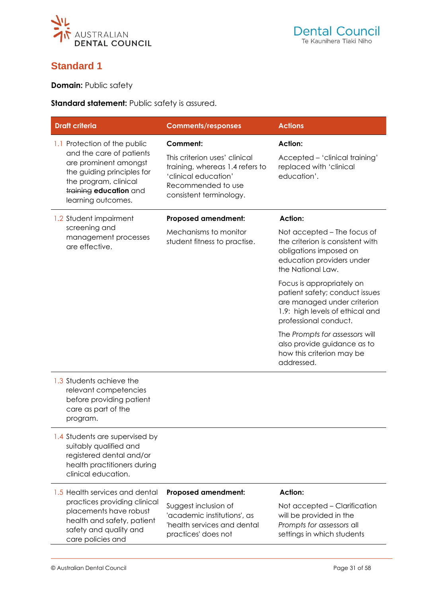<span id="page-30-0"></span>

# **Standard 1**

**Domain:** Public safety

**Standard statement:** Public safety is assured.

| <b>Draft criteria</b>                                                                                                                                                                    | <b>Comments/responses</b>                                                                                                                                    | <b>Actions</b>                                                                                                                                         |
|------------------------------------------------------------------------------------------------------------------------------------------------------------------------------------------|--------------------------------------------------------------------------------------------------------------------------------------------------------------|--------------------------------------------------------------------------------------------------------------------------------------------------------|
| 1.1 Protection of the public<br>and the care of patients<br>are prominent amongst<br>the guiding principles for<br>the program, clinical<br>training education and<br>learning outcomes. | <b>Comment:</b><br>This criterion uses' clinical<br>training, whereas 1.4 refers to<br>'clinical education'<br>Recommended to use<br>consistent terminology. | <b>Action:</b><br>Accepted - 'clinical training'<br>replaced with 'clinical<br>education'.                                                             |
| 1.2 Student impairment                                                                                                                                                                   | <b>Proposed amendment:</b>                                                                                                                                   | <b>Action:</b>                                                                                                                                         |
| screening and<br>management processes<br>are effective.                                                                                                                                  | Mechanisms to monitor<br>student fitness to practise.                                                                                                        | Not accepted – The focus of<br>the criterion is consistent with<br>obligations imposed on<br>education providers under<br>the National Law.            |
|                                                                                                                                                                                          |                                                                                                                                                              | Focus is appropriately on<br>patient safety; conduct issues<br>are managed under criterion<br>1.9: high levels of ethical and<br>professional conduct. |
|                                                                                                                                                                                          |                                                                                                                                                              | The Prompts for assessors will<br>also provide guidance as to<br>how this criterion may be<br>addressed.                                               |
| 1.3 Students achieve the<br>relevant competencies<br>before providing patient<br>care as part of the<br>program.                                                                         |                                                                                                                                                              |                                                                                                                                                        |
| 1.4 Students are supervised by<br>suitably qualified and<br>registered dental and/or<br>health practitioners during<br>clinical education.                                               |                                                                                                                                                              |                                                                                                                                                        |
| 1.5 Health services and dental<br>practices providing clinical<br>placements have robust<br>health and safety, patient<br>safety and quality and<br>care policies and                    | <b>Proposed amendment:</b><br>Suggest inclusion of<br>'academic institutions', as<br>'health services and dental<br>practices' does not                      | <b>Action:</b><br>Not accepted – Clarification<br>will be provided in the<br>Prompts for assessors all<br>settings in which students                   |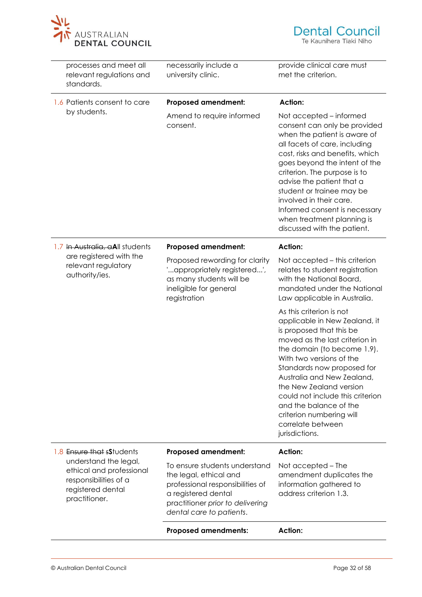

| processes and meet all<br>relevant regulations and<br>standards.                                                                                                                                                                                                                                       | necessarily include a<br>university clinic.                                                                                                                    | provide clinical care must<br>met the criterion.                                                                                                                                                                                                                                                                                                                                                                |
|--------------------------------------------------------------------------------------------------------------------------------------------------------------------------------------------------------------------------------------------------------------------------------------------------------|----------------------------------------------------------------------------------------------------------------------------------------------------------------|-----------------------------------------------------------------------------------------------------------------------------------------------------------------------------------------------------------------------------------------------------------------------------------------------------------------------------------------------------------------------------------------------------------------|
| 1.6 Patients consent to care                                                                                                                                                                                                                                                                           | <b>Proposed amendment:</b>                                                                                                                                     | <b>Action:</b>                                                                                                                                                                                                                                                                                                                                                                                                  |
| by students.                                                                                                                                                                                                                                                                                           | Amend to require informed<br>consent.                                                                                                                          | Not accepted – informed<br>consent can only be provided<br>when the patient is aware of<br>all facets of care, including<br>cost, risks and benefits, which<br>goes beyond the intent of the<br>criterion. The purpose is to<br>advise the patient that a<br>student or trainee may be<br>involved in their care.<br>Informed consent is necessary<br>when treatment planning is<br>discussed with the patient. |
| 1.7 In Australia, aAll students                                                                                                                                                                                                                                                                        | <b>Proposed amendment:</b>                                                                                                                                     | <b>Action:</b>                                                                                                                                                                                                                                                                                                                                                                                                  |
| relevant regulatory<br>authority/ies.                                                                                                                                                                                                                                                                  | are registered with the<br>Proposed rewording for clarity<br>'appropriately registered',<br>as many students will be<br>ineligible for general<br>registration |                                                                                                                                                                                                                                                                                                                                                                                                                 |
|                                                                                                                                                                                                                                                                                                        |                                                                                                                                                                | As this criterion is not<br>applicable in New Zealand, it<br>is proposed that this be<br>moved as the last criterion in<br>the domain (to become 1.9).<br>With two versions of the<br>Standards now proposed for<br>Australia and New Zealand,<br>the New Zealand version<br>could not include this criterion<br>and the balance of the<br>criterion numbering will<br>correlate between<br>jurisdictions.      |
| 1.8 Ensure that sStudents                                                                                                                                                                                                                                                                              | <b>Proposed amendment:</b>                                                                                                                                     | <b>Action:</b>                                                                                                                                                                                                                                                                                                                                                                                                  |
| understand the legal,<br>To ensure students understand<br>ethical and professional<br>the legal, ethical and<br>responsibilities of a<br>professional responsibilities of<br>registered dental<br>a registered dental<br>practitioner.<br>practitioner prior to delivering<br>dental care to patients. |                                                                                                                                                                | Not accepted – The<br>amendment duplicates the<br>information gathered to<br>address criterion 1.3.                                                                                                                                                                                                                                                                                                             |
|                                                                                                                                                                                                                                                                                                        | <b>Proposed amendments:</b>                                                                                                                                    | <b>Action:</b>                                                                                                                                                                                                                                                                                                                                                                                                  |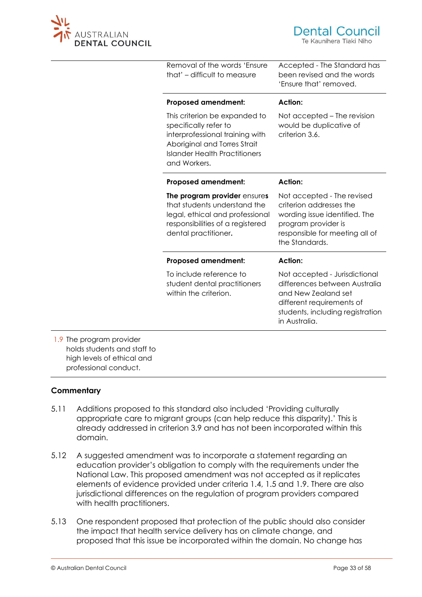

|                  | Removal of the words 'Ensure<br>that' - difficult to measure                                                                                                                      | Accepted - The Standard has<br>been revised and the words<br>'Ensure that' removed.                                                                                     |
|------------------|-----------------------------------------------------------------------------------------------------------------------------------------------------------------------------------|-------------------------------------------------------------------------------------------------------------------------------------------------------------------------|
|                  | <b>Proposed amendment:</b>                                                                                                                                                        | <b>Action:</b>                                                                                                                                                          |
|                  | This criterion be expanded to<br>specifically refer to<br>interprofessional training with<br>Aboriginal and Torres Strait<br><b>Islander Health Practitioners</b><br>and Workers. | Not accepted – The revision<br>would be duplicative of<br>criterion 3.6.                                                                                                |
|                  | <b>Proposed amendment:</b>                                                                                                                                                        | <b>Action:</b>                                                                                                                                                          |
|                  | The program provider ensures<br>that students understand the<br>legal, ethical and professional<br>responsibilities of a registered<br>dental practitioner.                       | Not accepted - The revised<br>criterion addresses the<br>wording issue identified. The<br>program provider is<br>responsible for meeting all of<br>the Standards.       |
|                  | <b>Proposed amendment:</b>                                                                                                                                                        | <b>Action:</b>                                                                                                                                                          |
|                  | To include reference to<br>student dental practitioners<br>within the criterion.                                                                                                  | Not accepted - Jurisdictional<br>differences between Australia<br>and New Zealand set<br>different requirements of<br>students, including registration<br>in Australia. |
| program provider |                                                                                                                                                                                   |                                                                                                                                                                         |

 $1.9$  The holds students and staff to high levels of ethical and professional conduct.

#### **Commentary**

- 5.11 Additions proposed to this standard also included 'Providing culturally appropriate care to migrant groups (can help reduce this disparity).' This is already addressed in criterion 3.9 and has not been incorporated within this domain.
- 5.12 A suggested amendment was to incorporate a statement regarding an education provider's obligation to comply with the requirements under the National Law. This proposed amendment was not accepted as it replicates elements of evidence provided under criteria 1.4, 1.5 and 1.9. There are also jurisdictional differences on the regulation of program providers compared with health practitioners.
- 5.13 One respondent proposed that protection of the public should also consider the impact that health service delivery has on climate change, and proposed that this issue be incorporated within the domain. No change has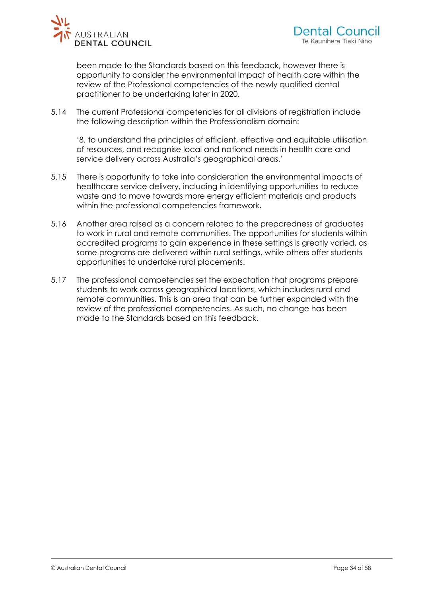

been made to the Standards based on this feedback, however there is opportunity to consider the environmental impact of health care within the review of the Professional competencies of the newly qualified dental practitioner to be undertaking later in 2020.

5.14 The current Professional competencies for all divisions of registration include the following description within the Professionalism domain:

'8. to understand the principles of efficient, effective and equitable utilisation of resources, and recognise local and national needs in health care and service delivery across Australia's geographical areas.'

- 5.15 There is opportunity to take into consideration the environmental impacts of healthcare service delivery, including in identifying opportunities to reduce waste and to move towards more energy efficient materials and products within the professional competencies framework.
- 5.16 Another area raised as a concern related to the preparedness of graduates to work in rural and remote communities. The opportunities for students within accredited programs to gain experience in these settings is greatly varied, as some programs are delivered within rural settings, while others offer students opportunities to undertake rural placements.
- 5.17 The professional competencies set the expectation that programs prepare students to work across geographical locations, which includes rural and remote communities. This is an area that can be further expanded with the review of the professional competencies. As such, no change has been made to the Standards based on this feedback.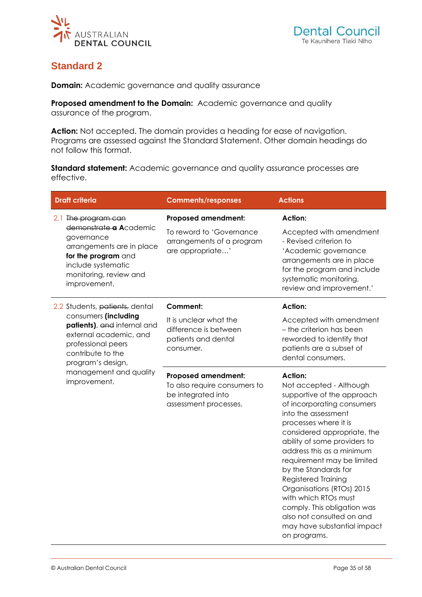<span id="page-34-0"></span>

# **Standard 2**

**Domain:** Academic governance and quality assurance

**Proposed amendment to the Domain:** Academic governance and quality assurance of the program.

**Action:** Not accepted. The domain provides a heading for ease of navigation. Programs are assessed against the Standard Statement. Other domain headings do not follow this format.

**Standard statement:** Academic governance and quality assurance processes are effective.

| <b>Draft criteria</b>                                                                                                                                                           | <b>Comments/responses</b>                                                                                 | <b>Actions</b>                                                                                                                                                                                                                                                                                                                                                                                                                                                                                 |
|---------------------------------------------------------------------------------------------------------------------------------------------------------------------------------|-----------------------------------------------------------------------------------------------------------|------------------------------------------------------------------------------------------------------------------------------------------------------------------------------------------------------------------------------------------------------------------------------------------------------------------------------------------------------------------------------------------------------------------------------------------------------------------------------------------------|
| 2.1 The program can<br>demonstrate a Academic<br>governance<br>arrangements are in place<br>for the program and<br>include systematic<br>monitoring, review and<br>improvement. | <b>Proposed amendment:</b><br>To reword to 'Governance<br>arrangements of a program<br>are appropriate'   | Action:<br>Accepted with amendment<br>- Revised criterion to<br>'Academic governance<br>arrangements are in place<br>for the program and include<br>systematic monitoring,<br>review and improvement.'                                                                                                                                                                                                                                                                                         |
| 2.2 Students, patients, dental<br>consumers (including<br>patients), and internal and<br>external academic, and<br>professional peers<br>contribute to the<br>program's design, | <b>Comment:</b><br>It is unclear what the<br>difference is between<br>patients and dental<br>consumer.    | <b>Action:</b><br>Accepted with amendment<br>- the criterion has been<br>reworded to identify that<br>patients are a subset of<br>dental consumers.                                                                                                                                                                                                                                                                                                                                            |
| management and quality<br>improvement.                                                                                                                                          | <b>Proposed amendment:</b><br>To also require consumers to<br>be integrated into<br>assessment processes. | <b>Action:</b><br>Not accepted - Although<br>supportive of the approach<br>of incorporating consumers<br>into the assessment<br>processes where it is<br>considered appropriate, the<br>ability of some providers to<br>address this as a minimum<br>requirement may be limited<br>by the Standards for<br>Registered Training<br>Organisations (RTOs) 2015<br>with which RTOs must<br>comply. This obligation was<br>also not consulted on and<br>may have substantial impact<br>on programs. |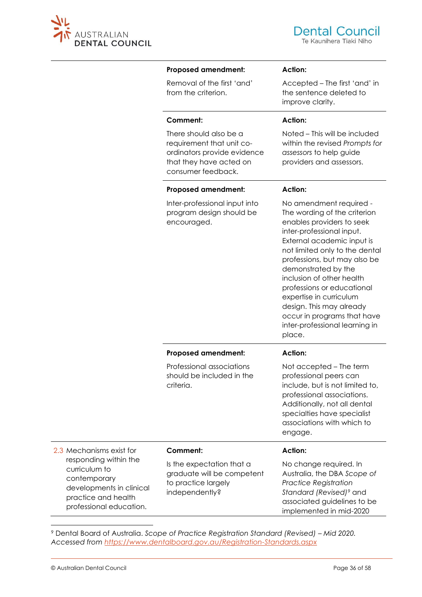

Accepted – The first 'and' in the sentence deleted to

Noted – This will be included within the revised *Prompts for* 

*assessors* to help guide providers and assessors.

**Action:**

**Action:**

improve clarity.

#### **Proposed amendment:**

Removal of the first 'and' from the criterion.

#### **Comment:**

There should also be a requirement that unit coordinators provide evidence that they have acted on consumer feedback.

program design should be

encouraged.

| <b>Proposed amendment:</b>    | <b>Action:</b> |
|-------------------------------|----------------|
| Inter-professional input into | No ame         |

No amendment required - The wording of the criterion enables providers to seek inter-professional input. External academic input is not limited only to the dental professions, but may also be demonstrated by the inclusion of other health professions or educational expertise in curriculum design. This may already occur in programs that have inter-professional learning in place.

|                                                                                                                                      | <b>Proposed amendment:</b>                                                                       | <b>Action:</b>                                                                                                                                                                                                             |
|--------------------------------------------------------------------------------------------------------------------------------------|--------------------------------------------------------------------------------------------------|----------------------------------------------------------------------------------------------------------------------------------------------------------------------------------------------------------------------------|
|                                                                                                                                      | Professional associations<br>should be included in the<br>criteria.                              | Not accepted – The term<br>professional peers can<br>include, but is not limited to,<br>professional associations.<br>Additionally, not all dental<br>specialties have specialist<br>associations with which to<br>engage. |
| 2.3 Mechanisms exist for                                                                                                             | Comment:                                                                                         | Action:                                                                                                                                                                                                                    |
| responding within the<br>curriculum to<br>contemporary<br>developments in clinical<br>practice and health<br>professional education. | Is the expectation that a<br>graduate will be competent<br>to practice largely<br>independently? | No change required. In<br>Australia, the DBA Scope of<br><b>Practice Registration</b><br>Standard (Revised) <sup>9</sup> and<br>associated guidelines to be<br>implemented in mid-2020                                     |

<sup>9</sup> Dental Board of Australia. *Scope of Practice Registration Standard (Revised) – Mid 2020. Accessed from<https://www.dentalboard.gov.au/Registration-Standards.aspx>*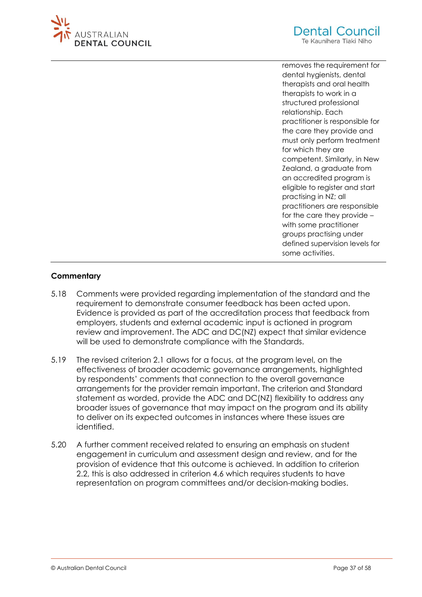



removes the requirement for dental hygienists, dental therapists and oral health therapists to work in a structured professional relationship. Each practitioner is responsible for the care they provide and must only perform treatment for which they are competent. Similarly, in New Zealand, a graduate from an accredited program is eligible to register and start practising in NZ; all practitioners are responsible for the care they provide – with some practitioner groups practising under defined supervision levels for some activities.

### **Commentary**

- 5.18 Comments were provided regarding implementation of the standard and the requirement to demonstrate consumer feedback has been acted upon. Evidence is provided as part of the accreditation process that feedback from employers, students and external academic input is actioned in program review and improvement. The ADC and DC(NZ) expect that similar evidence will be used to demonstrate compliance with the Standards.
- 5.19 The revised criterion 2.1 allows for a focus, at the program level, on the effectiveness of broader academic governance arrangements, highlighted by respondents' comments that connection to the overall governance arrangements for the provider remain important. The criterion and Standard statement as worded, provide the ADC and DC(NZ) flexibility to address any broader issues of governance that may impact on the program and its ability to deliver on its expected outcomes in instances where these issues are identified.
- 5.20 A further comment received related to ensuring an emphasis on student engagement in curriculum and assessment design and review, and for the provision of evidence that this outcome is achieved. In addition to criterion 2.2, this is also addressed in criterion 4.6 which requires students to have representation on program committees and/or decision-making bodies.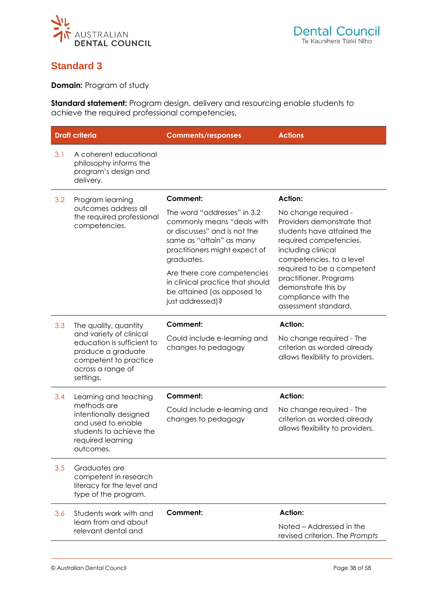<span id="page-37-0"></span>

# **Standard 3**

**Domain:** Program of study

**Standard statement:** Program design, delivery and resourcing enable students to achieve the required professional competencies.

|     | <b>Draft criteria</b>                                                                                                                  | <b>Comments/responses</b>                                                                                                                                            | <b>Actions</b>                                                                                                                                               |
|-----|----------------------------------------------------------------------------------------------------------------------------------------|----------------------------------------------------------------------------------------------------------------------------------------------------------------------|--------------------------------------------------------------------------------------------------------------------------------------------------------------|
| 3.1 | A coherent educational<br>philosophy informs the<br>program's design and<br>delivery.                                                  |                                                                                                                                                                      |                                                                                                                                                              |
| 3.2 | Program learning                                                                                                                       | Comment:                                                                                                                                                             | <b>Action:</b>                                                                                                                                               |
|     | outcomes address all<br>the required professional<br>competencies.                                                                     | The word "addresses" in 3.2<br>commonly means "deals with<br>or discusses" and is not the<br>same as "attain" as many<br>practitioners might expect of<br>graduates. | No change required -<br>Providers demonstrate that<br>students have attained the<br>required competencies,<br>including clinical<br>competencies, to a level |
|     |                                                                                                                                        | Are there core competencies<br>in clinical practice that should<br>be attained (as opposed to<br>just addressed)?                                                    | required to be a competent<br>practitioner. Programs<br>demonstrate this by<br>compliance with the<br>assessment standard.                                   |
| 3.3 | The quality, quantity                                                                                                                  | Comment:                                                                                                                                                             | <b>Action:</b>                                                                                                                                               |
|     | and variety of clinical<br>education is sufficient to<br>produce a graduate<br>competent to practice<br>across a range of<br>settings. | Could include e-learning and<br>changes to pedagogy                                                                                                                  | No change required - The<br>criterion as worded already<br>allows flexibility to providers.                                                                  |
| 3.4 | Learning and teaching                                                                                                                  | <b>Comment:</b>                                                                                                                                                      | <b>Action:</b>                                                                                                                                               |
|     | methods are<br>intentionally designed<br>and used to enable<br>students to achieve the<br>required learning<br>outcomes.               | Could include e-learning and<br>changes to pedagogy                                                                                                                  | No change required - The<br>criterion as worded already<br>allows flexibility to providers.                                                                  |
| 3.5 | Graduates are<br>competent in research<br>literacy for the level and<br>type of the program.                                           |                                                                                                                                                                      |                                                                                                                                                              |
| 3.6 | Students work with and<br>learn from and about<br>relevant dental and                                                                  | Comment:                                                                                                                                                             | <b>Action:</b><br>Noted – Addressed in the<br>revised criterion. The Prompts                                                                                 |
|     |                                                                                                                                        |                                                                                                                                                                      |                                                                                                                                                              |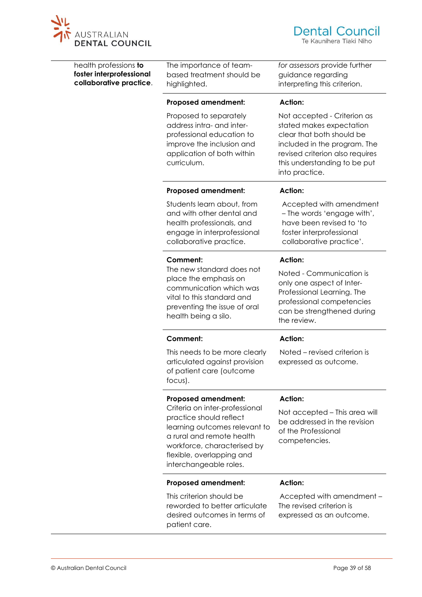

| health professions to<br>foster interprofessional<br>collaborative practice. | The importance of team-<br>based treatment should be<br>highlighted.                                                                                                                                          | for assessors provide further<br>guidance regarding<br>interpreting this criterion.                                                                                                                       |
|------------------------------------------------------------------------------|---------------------------------------------------------------------------------------------------------------------------------------------------------------------------------------------------------------|-----------------------------------------------------------------------------------------------------------------------------------------------------------------------------------------------------------|
|                                                                              | <b>Proposed amendment:</b>                                                                                                                                                                                    | Action:                                                                                                                                                                                                   |
|                                                                              | Proposed to separately<br>address intra- and inter-<br>professional education to<br>improve the inclusion and<br>application of both within<br>curriculum.                                                    | Not accepted - Criterion as<br>stated makes expectation<br>clear that both should be<br>included in the program. The<br>revised criterion also requires<br>this understanding to be put<br>into practice. |
|                                                                              | <b>Proposed amendment:</b>                                                                                                                                                                                    | <b>Action:</b>                                                                                                                                                                                            |
|                                                                              | Students learn about, from<br>and with other dental and<br>health professionals, and<br>engage in interprofessional<br>collaborative practice.                                                                | Accepted with amendment<br>- The words 'engage with',<br>have been revised to 'to<br>foster interprofessional<br>collaborative practice'.                                                                 |
|                                                                              | Comment:                                                                                                                                                                                                      | <b>Action:</b>                                                                                                                                                                                            |
|                                                                              | The new standard does not<br>place the emphasis on<br>communication which was<br>vital to this standard and<br>preventing the issue of oral<br>health being a silo.                                           | Noted - Communication is<br>only one aspect of Inter-<br>Professional Learning. The<br>professional competencies<br>can be strengthened during<br>the review.                                             |
|                                                                              | Comment:                                                                                                                                                                                                      | <b>Action:</b>                                                                                                                                                                                            |
|                                                                              | This needs to be more clearly<br>articulated against provision<br>of patient care (outcome<br>focus).                                                                                                         | Noted – revised criterion is<br>expressed as outcome.                                                                                                                                                     |
|                                                                              | <b>Proposed amendment:</b>                                                                                                                                                                                    | <b>Action:</b>                                                                                                                                                                                            |
|                                                                              | Criteria on inter-professional<br>practice should reflect<br>learning outcomes relevant to<br>a rural and remote health<br>workforce, characterised by<br>flexible, overlapping and<br>interchangeable roles. | Not accepted – This area will<br>be addressed in the revision<br>of the Professional<br>competencies.                                                                                                     |
|                                                                              | <b>Proposed amendment:</b>                                                                                                                                                                                    | <b>Action:</b>                                                                                                                                                                                            |
|                                                                              | This criterion should be<br>reworded to better articulate<br>desired outcomes in terms of<br>patient care.                                                                                                    | Accepted with amendment -<br>The revised criterion is<br>expressed as an outcome.                                                                                                                         |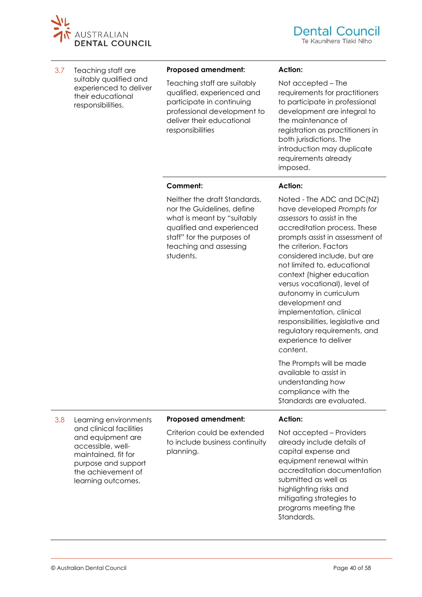

3.7 Teaching staff are suitably qualified and experienced to deliver their educational responsibilities.

#### **Proposed amendment:**

Teaching staff are suitably qualified, experienced and participate in continuing professional development to deliver their educational responsibilities

#### **Action:**

Not accepted – The requirements for practitioners to participate in professional development are integral to the maintenance of registration as practitioners in both jurisdictions. The introduction may duplicate requirements already imposed.

#### **Comment:**

Neither the draft Standards, nor the Guidelines, define what is meant by "suitably qualified and experienced staff" for the purposes of teaching and assessing students.

#### **Action:**

Noted - The ADC and DC(NZ) have developed *Prompts for assessors* to assist in the accreditation process. These prompts assist in assessment of the criterion. Factors considered include, but are not limited to, educational context (higher education versus vocational), level of autonomy in curriculum development and implementation, clinical responsibilities, legislative and regulatory requirements, and experience to deliver content.

The Prompts will be made available to assist in understanding how compliance with the Standards are evaluated.

3.8 Learning environments and clinical facilities and equipment are accessible, wellmaintained, fit for purpose and support the achievement of learning outcomes.

#### **Proposed amendment:**

Criterion could be extended to include business continuity planning.

#### **Action:**

Not accepted – Providers already include details of capital expense and equipment renewal within accreditation documentation submitted as well as highlighting risks and mitigating strategies to programs meeting the Standards.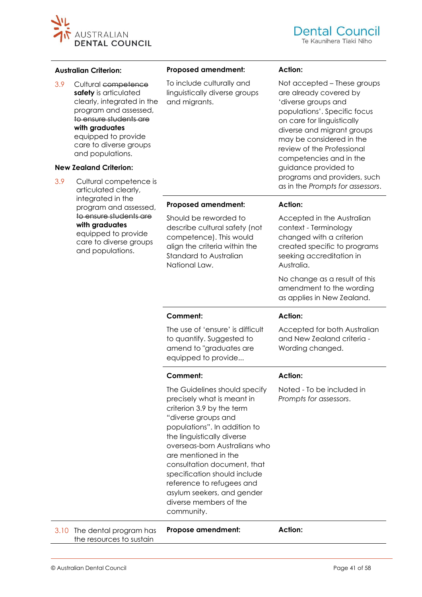

#### **Australian Criterion:**

3.9 Cultural competence safety is articulated clearly, integrated in the program and assessed, to ensure students are **with graduates**  equipped to provide care to diverse groups and populations.

#### **New Zealand Criterion:**

3.9 Cultural competence is articulated clearly, integrated in the program and assessed, to ensure students are **with graduates**  equipped to provide care to diverse groups and populations.

#### **Proposed amendment:**

To include culturally and linguistically diverse groups and migrants.

#### **Action:**

Not accepted – These groups are already covered by 'diverse groups and populations'. Specific focus on care for linguistically diverse and migrant groups may be considered in the review of the Professional competencies and in the guidance provided to programs and providers, such as in the *Prompts for assessors*.

#### **Proposed amendment:**

Should be reworded to describe cultural safety (not competence). This would align the criteria within the Standard to Australian National Law.

The use of 'ensure' is difficult to quantify. Suggested to amend to "graduates are equipped to provide...

**Comment:**

**Comment:**

**Action:** 

Accepted in the Australian context - Terminology changed with a criterion created specific to programs seeking accreditation in Australia.

No change as a result of this amendment to the wording as applies in New Zealand.

#### **Action:**

Accepted for both Australian and New Zealand criteria - Wording changed.

#### **Action:**

The Guidelines should specify precisely what is meant in criterion 3.9 by the term "diverse groups and populations". In addition to the linguistically diverse overseas-born Australians who are mentioned in the consultation document, that specification should include reference to refugees and asylum seekers, and gender diverse members of the community. Noted - To be included in *Prompts for assessors*. 3.10 The dental program has the resources to sustain **Propose amendment: Action:**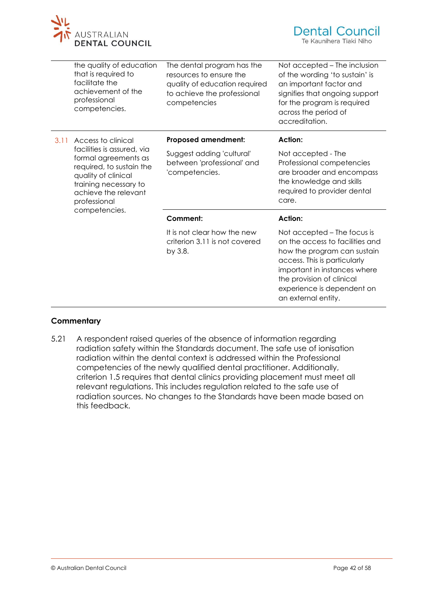

|      | the quality of education<br>that is required to<br>facilitate the<br>achievement of the<br>professional<br>competencies.                                                                | The dental program has the<br>resources to ensure the<br>quality of education required<br>to achieve the professional<br>competencies | Not accepted – The inclusion<br>of the wording 'to sustain' is<br>an important factor and<br>signifies that ongoing support<br>for the program is required<br>across the period of<br>accreditation.                                            |
|------|-----------------------------------------------------------------------------------------------------------------------------------------------------------------------------------------|---------------------------------------------------------------------------------------------------------------------------------------|-------------------------------------------------------------------------------------------------------------------------------------------------------------------------------------------------------------------------------------------------|
| 3.11 | Access to clinical                                                                                                                                                                      | <b>Proposed amendment:</b>                                                                                                            | <b>Action:</b>                                                                                                                                                                                                                                  |
|      | facilities is assured, via<br>formal agreements as<br>required, to sustain the<br>quality of clinical<br>training necessary to<br>achieve the relevant<br>professional<br>competencies. | Suggest adding 'cultural'<br>between 'professional' and<br>'competencies.                                                             | Not accepted - The<br>Professional competencies<br>are broader and encompass<br>the knowledge and skills<br>required to provider dental<br>care.                                                                                                |
|      |                                                                                                                                                                                         | <b>Comment:</b>                                                                                                                       | <b>Action:</b>                                                                                                                                                                                                                                  |
|      |                                                                                                                                                                                         | It is not clear how the new<br>criterion 3.11 is not covered<br>by 3.8.                                                               | Not accepted – The focus is<br>on the access to facilities and<br>how the program can sustain<br>access. This is particularly<br>important in instances where<br>the provision of clinical<br>experience is dependent on<br>an external entity. |

### **Commentary**

5.21 A respondent raised queries of the absence of information regarding radiation safety within the Standards document. The safe use of ionisation radiation within the dental context is addressed within the Professional competencies of the newly qualified dental practitioner. Additionally, criterion 1.5 requires that dental clinics providing placement must meet all relevant regulations. This includes regulation related to the safe use of radiation sources. No changes to the Standards have been made based on this feedback.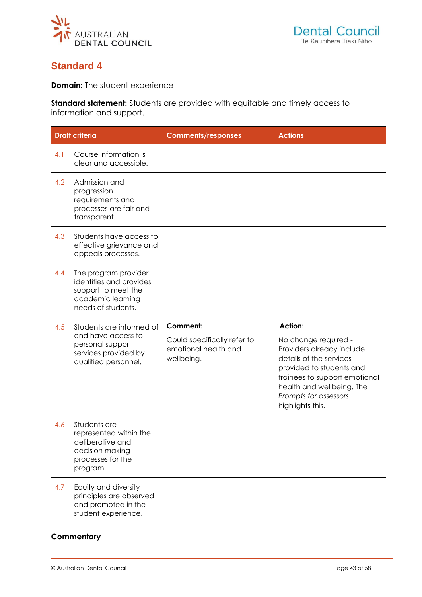<span id="page-42-0"></span>

# **Standard 4**

**Domain:** The student experience

**Standard statement:** Students are provided with equitable and timely access to information and support.

|     | <b>Draft criteria</b>                                                                                             | <b>Comments/responses</b>                                         | <b>Actions</b>                                                                                                                                                                                                      |
|-----|-------------------------------------------------------------------------------------------------------------------|-------------------------------------------------------------------|---------------------------------------------------------------------------------------------------------------------------------------------------------------------------------------------------------------------|
| 4.1 | Course information is<br>clear and accessible.                                                                    |                                                                   |                                                                                                                                                                                                                     |
| 4.2 | Admission and<br>progression<br>requirements and<br>processes are fair and<br>transparent.                        |                                                                   |                                                                                                                                                                                                                     |
| 4.3 | Students have access to<br>effective grievance and<br>appeals processes.                                          |                                                                   |                                                                                                                                                                                                                     |
| 4.4 | The program provider<br>identifies and provides<br>support to meet the<br>academic learning<br>needs of students. |                                                                   |                                                                                                                                                                                                                     |
| 4.5 | Students are informed of                                                                                          | Comment:                                                          | <b>Action:</b>                                                                                                                                                                                                      |
|     | and have access to<br>personal support<br>services provided by<br>qualified personnel.                            | Could specifically refer to<br>emotional health and<br>wellbeing. | No change required -<br>Providers already include<br>details of the services<br>provided to students and<br>trainees to support emotional<br>health and wellbeing. The<br>Prompts for assessors<br>highlights this. |
| 4.6 | Students are<br>represented within the<br>deliberative and<br>decision making<br>processes for the<br>program.    |                                                                   |                                                                                                                                                                                                                     |
| 4.7 | Equity and diversity<br>principles are observed<br>and promoted in the<br>student experience.                     |                                                                   |                                                                                                                                                                                                                     |
|     | Commentary                                                                                                        |                                                                   |                                                                                                                                                                                                                     |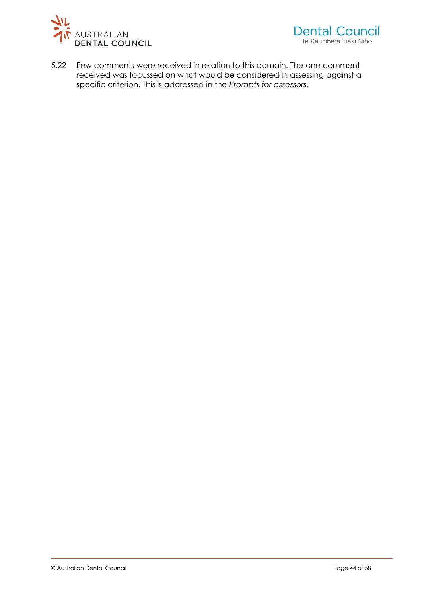

5.22 Few comments were received in relation to this domain. The one comment received was focussed on what would be considered in assessing against a specific criterion. This is addressed in the *Prompts for assessors*.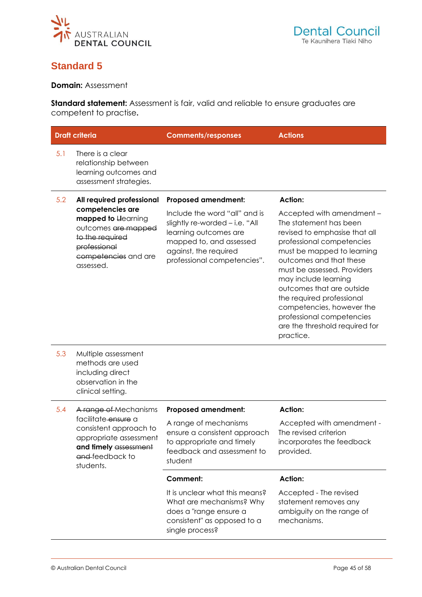<span id="page-44-0"></span>

# **Standard 5**

**Domain:** Assessment

**Standard statement:** Assessment is fair, valid and reliable to ensure graduates are competent to practise**.**

|     | <b>Draft criteria</b>                                                                                                            | <b>Comments/responses</b>                                                                                                                                                   | <b>Actions</b>                                                                                                                                                                                                                                                                                                                                                                                       |
|-----|----------------------------------------------------------------------------------------------------------------------------------|-----------------------------------------------------------------------------------------------------------------------------------------------------------------------------|------------------------------------------------------------------------------------------------------------------------------------------------------------------------------------------------------------------------------------------------------------------------------------------------------------------------------------------------------------------------------------------------------|
| 5.1 | There is a clear<br>relationship between<br>learning outcomes and<br>assessment strategies.                                      |                                                                                                                                                                             |                                                                                                                                                                                                                                                                                                                                                                                                      |
| 5.2 | All required professional<br>competencies are                                                                                    | <b>Proposed amendment:</b>                                                                                                                                                  | <b>Action:</b>                                                                                                                                                                                                                                                                                                                                                                                       |
|     | mapped to Llearning<br>outcomes are mapped<br>to the required<br>professional<br>competencies and are<br>assessed.               | Include the word "all" and is<br>slightly re-worded - i.e. "All<br>learning outcomes are<br>mapped to, and assessed<br>against, the required<br>professional competencies". | Accepted with amendment -<br>The statement has been<br>revised to emphasise that all<br>professional competencies<br>must be mapped to learning<br>outcomes and that these<br>must be assessed. Providers<br>may include learning<br>outcomes that are outside<br>the required professional<br>competencies, however the<br>professional competencies<br>are the threshold required for<br>practice. |
| 5.3 | Multiple assessment<br>methods are used<br>including direct<br>observation in the<br>clinical setting.                           |                                                                                                                                                                             |                                                                                                                                                                                                                                                                                                                                                                                                      |
| 5.4 | A range of Mechanisms                                                                                                            | <b>Proposed amendment:</b>                                                                                                                                                  | <b>Action:</b>                                                                                                                                                                                                                                                                                                                                                                                       |
|     | facilitate ensure a<br>consistent approach to<br>appropriate assessment<br>and timely assessment<br>and feedback to<br>students. | A range of mechanisms<br>ensure a consistent approach<br>to appropriate and timely<br>feedback and assessment to<br>student                                                 | Accepted with amendment -<br>The revised criterion<br>incorporates the feedback<br>provided.                                                                                                                                                                                                                                                                                                         |
|     |                                                                                                                                  | <b>Comment:</b>                                                                                                                                                             | <b>Action:</b>                                                                                                                                                                                                                                                                                                                                                                                       |
|     |                                                                                                                                  | It is unclear what this means?<br>What are mechanisms? Why<br>does a "range ensure a<br>consistent" as opposed to a<br>single process?                                      | Accepted - The revised<br>statement removes any<br>ambiguity on the range of<br>mechanisms.                                                                                                                                                                                                                                                                                                          |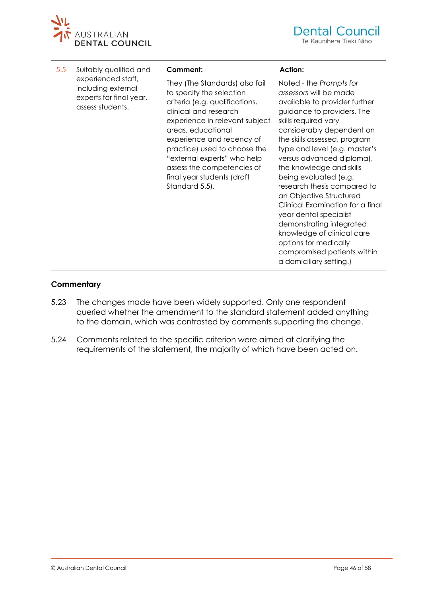

5.5 Suitably qualified and experienced staff, including external experts for final year, assess students.

#### **Comment:**

They (The Standards) also fail to specify the selection criteria (e.g. qualifications, clinical and research experience in relevant subject areas, educational experience and recency of practice) used to choose the "external experts" who help assess the competencies of final year students (draft Standard 5.5).

#### **Action:**

Noted - the *Prompts for assessors* will be made available to provider further guidance to providers. The skills required vary considerably dependent on the skills assessed, program type and level (e.g. master's versus advanced diploma), the knowledge and skills being evaluated (e.g. research thesis compared to an Objective Structured Clinical Examination for a final year dental specialist demonstrating integrated knowledge of clinical care options for medically compromised patients within a domiciliary setting.)

#### **Commentary**

- 5.23 The changes made have been widely supported. Only one respondent queried whether the amendment to the standard statement added anything to the domain, which was contrasted by comments supporting the change.
- 5.24 Comments related to the specific criterion were aimed at clarifying the requirements of the statement, the majority of which have been acted on.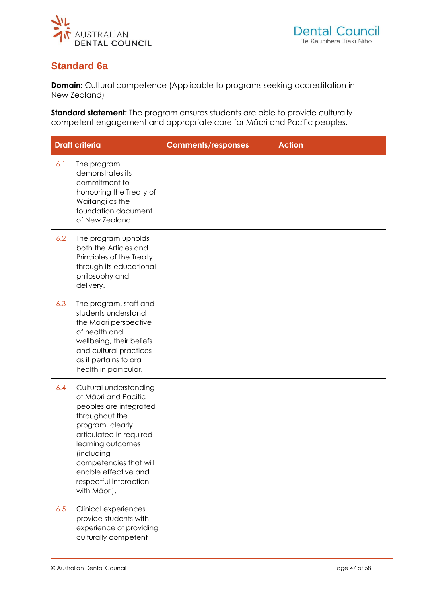<span id="page-46-0"></span>

# **Standard 6a**

**Domain:** Cultural competence (Applicable to programs seeking accreditation in New Zealand)

**Standard statement:** The program ensures students are able to provide culturally competent engagement and appropriate care for Māori and Pacific peoples.

|     | <b>Draft criteria</b>                                                                                                                                                                                                                                                    | <b>Comments/responses</b> | <b>Action</b> |
|-----|--------------------------------------------------------------------------------------------------------------------------------------------------------------------------------------------------------------------------------------------------------------------------|---------------------------|---------------|
| 6.1 | The program<br>demonstrates its<br>commitment to<br>honouring the Treaty of<br>Waitangi as the<br>foundation document<br>of New Zealand.                                                                                                                                 |                           |               |
| 6.2 | The program upholds<br>both the Articles and<br>Principles of the Treaty<br>through its educational<br>philosophy and<br>delivery.                                                                                                                                       |                           |               |
| 6.3 | The program, staff and<br>students understand<br>the Māori perspective<br>of health and<br>wellbeing, their beliefs<br>and cultural practices<br>as it pertains to oral<br>health in particular.                                                                         |                           |               |
| 6.4 | Cultural understanding<br>of Māori and Pacific<br>peoples are integrated<br>throughout the<br>program, clearly<br>articulated in required<br>learning outcomes<br>(including<br>competencies that will<br>enable effective and<br>respectful interaction<br>with Māori). |                           |               |
| 6.5 | Clinical experiences<br>provide students with<br>experience of providing<br>culturally competent                                                                                                                                                                         |                           |               |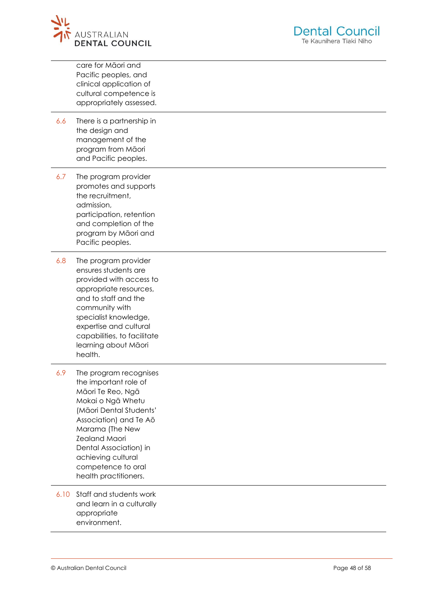

|      | care for Māori and<br>Pacific peoples, and<br>clinical application of<br>cultural competence is<br>appropriately assessed.                                                                                                                                                               |
|------|------------------------------------------------------------------------------------------------------------------------------------------------------------------------------------------------------------------------------------------------------------------------------------------|
| 6.6  | There is a partnership in<br>the design and<br>management of the<br>program from Māori<br>and Pacific peoples.                                                                                                                                                                           |
| 6.7  | The program provider<br>promotes and supports<br>the recruitment,<br>admission,<br>participation, retention<br>and completion of the<br>program by Māori and<br>Pacific peoples.                                                                                                         |
| 6.8  | The program provider<br>ensures students are<br>provided with access to<br>appropriate resources,<br>and to staff and the<br>community with<br>specialist knowledge,<br>expertise and cultural<br>capabilities, to facilitate<br>learning about Māori<br>health.                         |
| 6.9  | The program recognises<br>the important role of<br>Māori Te Reo, Ngā<br>Mokai o Ngā Whetu<br>(Māori Dental Students'<br>Association) and Te Aō<br>Marama (The New<br><b>Zealand Maori</b><br>Dental Association) in<br>achieving cultural<br>competence to oral<br>health practitioners. |
| 6.10 | Staff and students work<br>and learn in a culturally<br>appropriate<br>environment.                                                                                                                                                                                                      |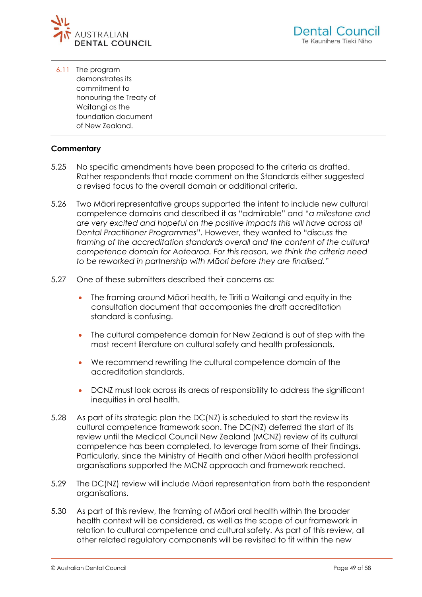

6.11 The program demonstrates its commitment to honouring the Treaty of Waitangi as the foundation document of New Zealand.

### **Commentary**

- 5.25 No specific amendments have been proposed to the criteria as drafted. Rather respondents that made comment on the Standards either suggested a revised focus to the overall domain or additional criteria.
- 5.26 Two Māori representative groups supported the intent to include new cultural competence domains and described it as "admirable" and "*a milestone and are very excited and hopeful on the positive impacts this will have across all Dental Practitioner Programmes*". However, they wanted to "*discuss the framing of the accreditation standards overall and the content of the cultural competence domain for Aotearoa. For this reason, we think the criteria need to be reworked in partnership with Māori before they are finalised.*"
- 5.27 One of these submitters described their concerns as:
	- The framing around Māori health, te Tiriti o Waitangi and equity in the consultation document that accompanies the draft accreditation standard is confusing.
	- The cultural competence domain for New Zealand is out of step with the most recent literature on cultural safety and health professionals.
	- We recommend rewriting the cultural competence domain of the accreditation standards.
	- DCNZ must look across its areas of responsibility to address the significant inequities in oral health.
- 5.28 As part of its strategic plan the DC(NZ) is scheduled to start the review its cultural competence framework soon. The DC(NZ) deferred the start of its review until the Medical Council New Zealand (MCNZ) review of its cultural competence has been completed, to leverage from some of their findings. Particularly, since the Ministry of Health and other Māori health professional organisations supported the MCNZ approach and framework reached.
- 5.29 The DC(NZ) review will include Māori representation from both the respondent organisations.
- 5.30 As part of this review, the framing of Māori oral health within the broader health context will be considered, as well as the scope of our framework in relation to cultural competence and cultural safety. As part of this review, all other related regulatory components will be revisited to fit within the new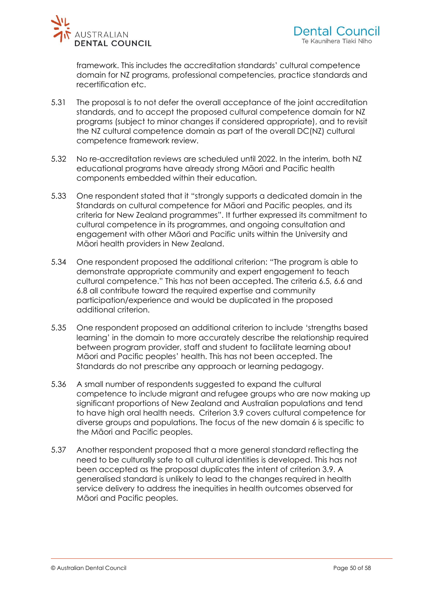

framework. This includes the accreditation standards' cultural competence domain for NZ programs, professional competencies, practice standards and recertification etc.

- 5.31 The proposal is to not defer the overall acceptance of the joint accreditation standards, and to accept the proposed cultural competence domain for NZ programs (subject to minor changes if considered appropriate), and to revisit the NZ cultural competence domain as part of the overall DC(NZ) cultural competence framework review.
- 5.32 No re-accreditation reviews are scheduled until 2022. In the interim, both NZ educational programs have already strong Māori and Pacific health components embedded within their education.
- 5.33 One respondent stated that it "strongly supports a dedicated domain in the Standards on cultural competence for Māori and Pacific peoples, and its criteria for New Zealand programmes". It further expressed its commitment to cultural competence in its programmes, and ongoing consultation and engagement with other Māori and Pacific units within the University and Māori health providers in New Zealand.
- 5.34 One respondent proposed the additional criterion: "The program is able to demonstrate appropriate community and expert engagement to teach cultural competence." This has not been accepted. The criteria 6.5, 6.6 and 6.8 all contribute toward the required expertise and community participation/experience and would be duplicated in the proposed additional criterion.
- 5.35 One respondent proposed an additional criterion to include 'strengths based learning' in the domain to more accurately describe the relationship required between program provider, staff and student to facilitate learning about Māori and Pacific peoples' health. This has not been accepted. The Standards do not prescribe any approach or learning pedagogy.
- 5.36 A small number of respondents suggested to expand the cultural competence to include migrant and refugee groups who are now making up significant proportions of New Zealand and Australian populations and tend to have high oral health needs. Criterion 3.9 covers cultural competence for diverse groups and populations. The focus of the new domain 6 is specific to the Māori and Pacific peoples.
- 5.37 Another respondent proposed that a more general standard reflecting the need to be culturally safe to all cultural identities is developed. This has not been accepted as the proposal duplicates the intent of criterion 3.9. A generalised standard is unlikely to lead to the changes required in health service delivery to address the inequities in health outcomes observed for Māori and Pacific peoples.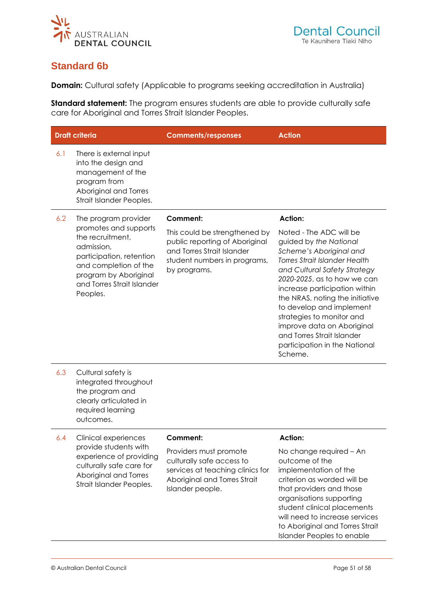<span id="page-50-0"></span>

# **Standard 6b**

**Domain:** Cultural safety (Applicable to programs seeking accreditation in Australia)

**Standard statement:** The program ensures students are able to provide culturally safe care for Aboriginal and Torres Strait Islander Peoples.

| <b>Draft criteria</b> |                                                                                                                                                                                 | <b>Comments/responses</b>                                                                                                                     | <b>Action</b>                                                                                                                                                                                                                                                                                                                                                                                                            |
|-----------------------|---------------------------------------------------------------------------------------------------------------------------------------------------------------------------------|-----------------------------------------------------------------------------------------------------------------------------------------------|--------------------------------------------------------------------------------------------------------------------------------------------------------------------------------------------------------------------------------------------------------------------------------------------------------------------------------------------------------------------------------------------------------------------------|
| 6.1                   | There is external input<br>into the design and<br>management of the<br>program from<br>Aboriginal and Torres<br>Strait Islander Peoples.                                        |                                                                                                                                               |                                                                                                                                                                                                                                                                                                                                                                                                                          |
| 6.2                   | The program provider                                                                                                                                                            | <b>Comment:</b>                                                                                                                               | <b>Action:</b>                                                                                                                                                                                                                                                                                                                                                                                                           |
|                       | promotes and supports<br>the recruitment,<br>admission,<br>participation, retention<br>and completion of the<br>program by Aboriginal<br>and Torres Strait Islander<br>Peoples. | This could be strengthened by<br>public reporting of Aboriginal<br>and Torres Strait Islander<br>student numbers in programs,<br>by programs. | Noted - The ADC will be<br>guided by the National<br>Scheme's Aboriginal and<br><b>Torres Strait Islander Health</b><br>and Cultural Safety Strategy<br>2020-2025, as to how we can<br>increase participation within<br>the NRAS, noting the initiative<br>to develop and implement<br>strategies to monitor and<br>improve data on Aboriginal<br>and Torres Strait Islander<br>participation in the National<br>Scheme. |
| 6.3                   | Cultural safety is<br>integrated throughout<br>the program and<br>clearly articulated in<br>required learning<br>outcomes.                                                      |                                                                                                                                               |                                                                                                                                                                                                                                                                                                                                                                                                                          |
| 6.4                   | Clinical experiences                                                                                                                                                            | Comment:                                                                                                                                      | <b>Action:</b>                                                                                                                                                                                                                                                                                                                                                                                                           |
|                       | provide students with<br>experience of providing<br>culturally safe care for<br>Aboriginal and Torres<br>Strait Islander Peoples.                                               | Providers must promote<br>culturally safe access to<br>services at teaching clinics for<br>Aboriginal and Torres Strait<br>Islander people.   | No change required - An<br>outcome of the<br>implementation of the<br>criterion as worded will be<br>that providers and those<br>organisations supporting<br>student clinical placements<br>will need to increase services<br>to Aboriginal and Torres Strait<br><b>Islander Peoples to enable</b>                                                                                                                       |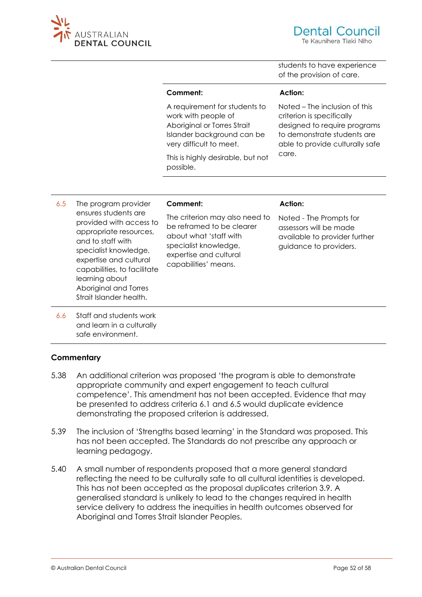

students to have experience of the provision of care.

#### **Comment:**

A requirement for students to work with people of Aboriginal or Torres Strait Islander background can be very difficult to meet.

This is highly desirable, but not possible.

**Action:** Noted – The inclusion of this

criterion is specifically designed to require programs to demonstrate students are able to provide culturally safe care.

6.5 The program provider ensures students are provided with access to appropriate resources, and to staff with specialist knowledge, expertise and cultural capabilities, to facilitate learning about Aboriginal and Torres Strait Islander health.

#### **Comment:**

The criterion may also need to be reframed to be clearer about what 'staff with specialist knowledge, expertise and cultural capabilities' means.

#### **Action:**

Noted - The Prompts for assessors will be made available to provider further guidance to providers.

6.6 Staff and students work and learn in a culturally safe environment.

#### **Commentary**

- 5.38 An additional criterion was proposed 'the program is able to demonstrate appropriate community and expert engagement to teach cultural competence'. This amendment has not been accepted. Evidence that may be presented to address criteria 6.1 and 6.5 would duplicate evidence demonstrating the proposed criterion is addressed.
- 5.39 The inclusion of 'Strengths based learning' in the Standard was proposed. This has not been accepted. The Standards do not prescribe any approach or learning pedagogy.
- 5.40 A small number of respondents proposed that a more general standard reflecting the need to be culturally safe to all cultural identities is developed. This has not been accepted as the proposal duplicates criterion 3.9. A generalised standard is unlikely to lead to the changes required in health service delivery to address the inequities in health outcomes observed for Aboriginal and Torres Strait Islander Peoples.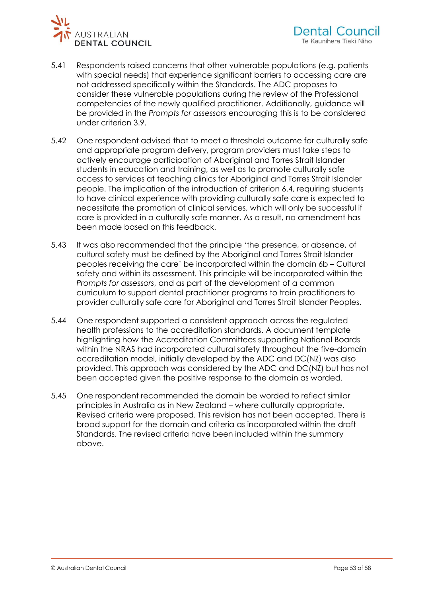

- 5.41 Respondents raised concerns that other vulnerable populations (e.g. patients with special needs) that experience significant barriers to accessing care are not addressed specifically within the Standards. The ADC proposes to consider these vulnerable populations during the review of the Professional competencies of the newly qualified practitioner. Additionally, guidance will be provided in the *Prompts for assessors* encouraging this is to be considered under criterion 3.9.
- 5.42 One respondent advised that to meet a threshold outcome for culturally safe and appropriate program delivery, program providers must take steps to actively encourage participation of Aboriginal and Torres Strait Islander students in education and training, as well as to promote culturally safe access to services at teaching clinics for Aboriginal and Torres Strait Islander people. The implication of the introduction of criterion 6.4, requiring students to have clinical experience with providing culturally safe care is expected to necessitate the promotion of clinical services, which will only be successful if care is provided in a culturally safe manner. As a result, no amendment has been made based on this feedback.
- 5.43 It was also recommended that the principle 'the presence, or absence, of cultural safety must be defined by the Aboriginal and Torres Strait Islander peoples receiving the care' be incorporated within the domain 6b – Cultural safety and within its assessment. This principle will be incorporated within the *Prompts for assessors*, and as part of the development of a common curriculum to support dental practitioner programs to train practitioners to provider culturally safe care for Aboriginal and Torres Strait Islander Peoples.
- 5.44 One respondent supported a consistent approach across the regulated health professions to the accreditation standards. A document template highlighting how the Accreditation Committees supporting National Boards within the NRAS had incorporated cultural safety throughout the five-domain accreditation model, initially developed by the ADC and DC(NZ) was also provided. This approach was considered by the ADC and DC(NZ) but has not been accepted given the positive response to the domain as worded.
- 5.45 One respondent recommended the domain be worded to reflect similar principles in Australia as in New Zealand – where culturally appropriate. Revised criteria were proposed. This revision has not been accepted. There is broad support for the domain and criteria as incorporated within the draft Standards. The revised criteria have been included within the summary above.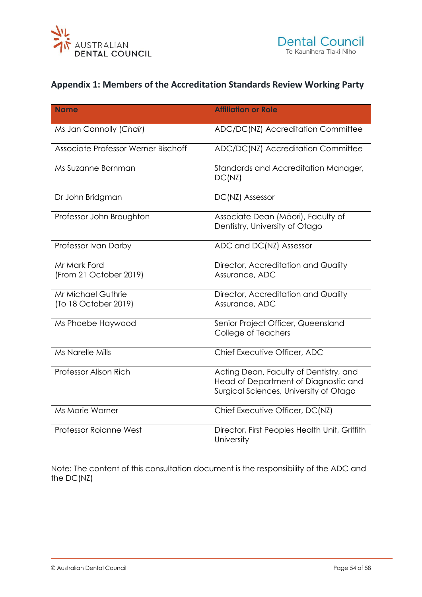<span id="page-53-0"></span>

# **Appendix 1: Members of the Accreditation Standards Review Working Party**

| <b>Name</b>                                       | <b>Affiliation or Role</b>                                                                                               |
|---------------------------------------------------|--------------------------------------------------------------------------------------------------------------------------|
| Ms Jan Connolly (Chair)                           | ADC/DC(NZ) Accreditation Committee                                                                                       |
| Associate Professor Werner Bischoff               | ADC/DC(NZ) Accreditation Committee                                                                                       |
| Ms Suzanne Bornman                                | Standards and Accreditation Manager,<br>DC(NZ)                                                                           |
| Dr John Bridgman                                  | DC(NZ) Assessor                                                                                                          |
| Professor John Broughton                          | Associate Dean (Māori), Faculty of<br>Dentistry, University of Otago                                                     |
| Professor Ivan Darby                              | ADC and DC(NZ) Assessor                                                                                                  |
| Mr Mark Ford<br>(From 21 October 2019)            | Director, Accreditation and Quality<br>Assurance, ADC                                                                    |
| <b>Mr Michael Guthrie</b><br>(To 18 October 2019) | Director, Accreditation and Quality<br>Assurance, ADC                                                                    |
| Ms Phoebe Haywood                                 | Senior Project Officer, Queensland<br>College of Teachers                                                                |
| <b>Ms Narelle Mills</b>                           | Chief Executive Officer, ADC                                                                                             |
| Professor Alison Rich                             | Acting Dean, Faculty of Dentistry, and<br>Head of Department of Diagnostic and<br>Surgical Sciences, University of Otago |
| Ms Marie Warner                                   | Chief Executive Officer, DC(NZ)                                                                                          |
| <b>Professor Roianne West</b>                     | Director, First Peoples Health Unit, Griffith<br>University                                                              |

Note: The content of this consultation document is the responsibility of the ADC and the DC(NZ)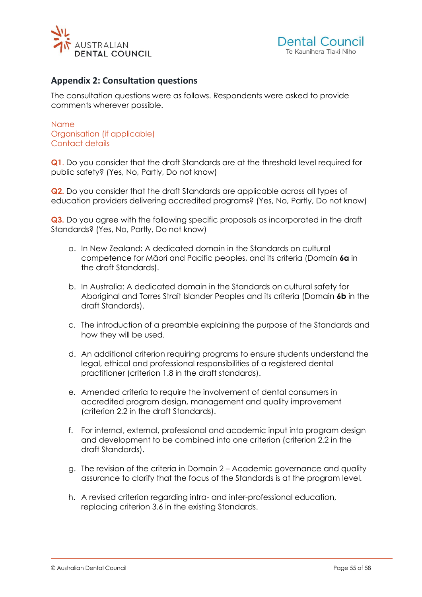<span id="page-54-0"></span>



### **Appendix 2: Consultation questions**

The consultation questions were as follows. Respondents were asked to provide comments wherever possible.

#### Name Organisation (if applicable) Contact details

**Q1**. Do you consider that the draft Standards are at the threshold level required for public safety? (Yes, No, Partly, Do not know)

**Q2.** Do you consider that the draft Standards are applicable across all types of education providers delivering accredited programs? (Yes, No, Partly, Do not know)

**Q3.** Do you agree with the following specific proposals as incorporated in the draft Standards? (Yes, No, Partly, Do not know)

- a. In New Zealand: A dedicated domain in the Standards on cultural competence for Māori and Pacific peoples, and its criteria (Domain **6a** in the draft Standards).
- b. In Australia: A dedicated domain in the Standards on cultural safety for Aboriginal and Torres Strait Islander Peoples and its criteria (Domain **6b** in the draft Standards).
- c. The introduction of a preamble explaining the purpose of the Standards and how they will be used.
- d. An additional criterion requiring programs to ensure students understand the legal, ethical and professional responsibilities of a registered dental practitioner (criterion 1.8 in the draft standards).
- e. Amended criteria to require the involvement of dental consumers in accredited program design, management and quality improvement (criterion 2.2 in the draft Standards).
- f. For internal, external, professional and academic input into program design and development to be combined into one criterion (criterion 2.2 in the draft Standards).
- g. The revision of the criteria in Domain 2 Academic governance and quality assurance to clarify that the focus of the Standards is at the program level.
- h. A revised criterion regarding intra- and inter-professional education, replacing criterion 3.6 in the existing Standards.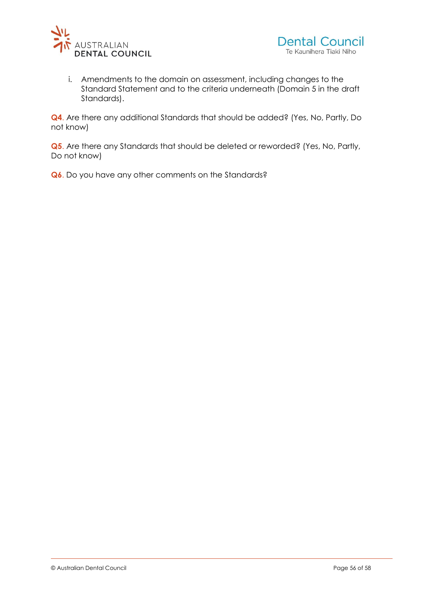

i. Amendments to the domain on assessment, including changes to the Standard Statement and to the criteria underneath (Domain 5 in the draft Standards).

**Q4**. Are there any additional Standards that should be added? (Yes, No, Partly, Do not know)

**Q5**. Are there any Standards that should be deleted or reworded? (Yes, No, Partly, Do not know)

**Q6**. Do you have any other comments on the Standards?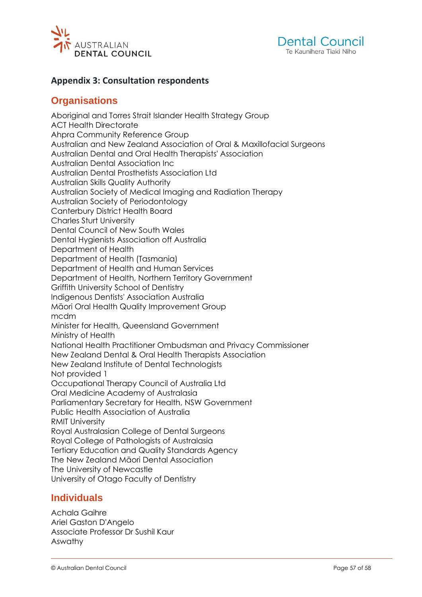<span id="page-56-0"></span>



### <span id="page-56-1"></span>**Appendix 3: Consultation respondents**

### **Organisations**

Aboriginal and Torres Strait Islander Health Strategy Group ACT Health Directorate Ahpra Community Reference Group Australian and New Zealand Association of Oral & Maxillofacial Surgeons Australian Dental and Oral Health Therapists' Association Australian Dental Association Inc Australian Dental Prosthetists Association Ltd Australian Skills Quality Authority Australian Society of Medical Imaging and Radiation Therapy Australian Society of Periodontology Canterbury District Health Board Charles Sturt University Dental Council of New South Wales Dental Hygienists Association off Australia Department of Health Department of Health (Tasmania) Department of Health and Human Services Department of Health, Northern Territory Government Griffith University School of Dentistry Indigenous Dentists' Association Australia Māori Oral Health Quality Improvement Group mcdm Minister for Health, Queensland Government Ministry of Health National Health Practitioner Ombudsman and Privacy Commissioner New Zealand Dental & Oral Health Therapists Association New Zealand Institute of Dental Technologists Not provided 1 Occupational Therapy Council of Australia Ltd Oral Medicine Academy of Australasia Parliamentary Secretary for Health, NSW Government Public Health Association of Australia RMIT University Royal Australasian College of Dental Surgeons Royal College of Pathologists of Australasia Tertiary Education and Quality Standards Agency The New Zealand Māori Dental Association The University of Newcastle University of Otago Faculty of Dentistry

### <span id="page-56-2"></span>**Individuals**

Achala Gaihre Ariel Gaston D'Angelo Associate Professor Dr Sushil Kaur Aswathy